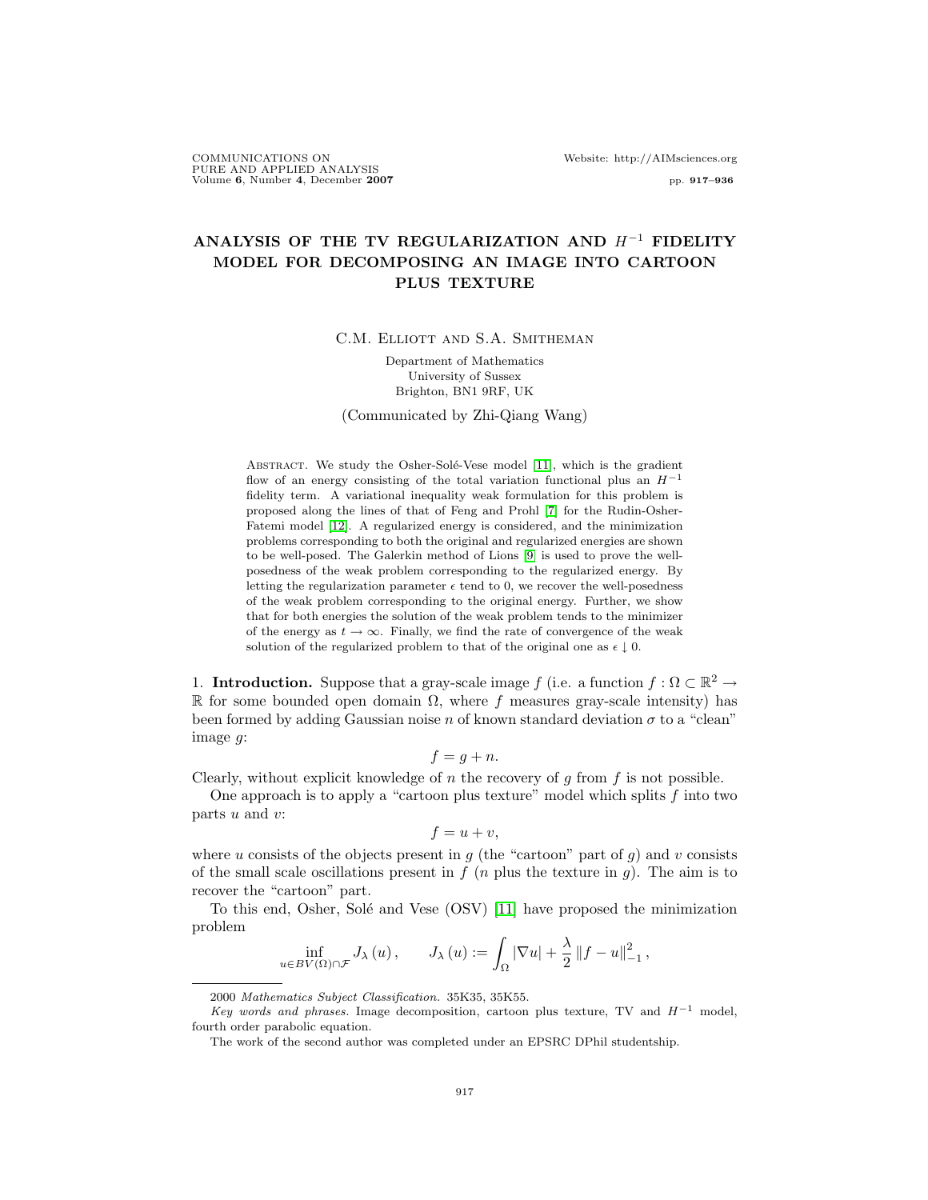COMMUNICATIONS ON Website: http://AIMsciences.org PURE AND APPLIED ANALYSIS Volume 6, Number 4, December 2007 pp. 917–936

# ANALYSIS OF THE TV REGULARIZATION AND  $H^{-1}$  FIDELITY MODEL FOR DECOMPOSING AN IMAGE INTO CARTOON PLUS TEXTURE

C.M. ELLIOTT AND S.A. SMITHEMAN

Department of Mathematics University of Sussex Brighton, BN1 9RF, UK

(Communicated by Zhi-Qiang Wang)

ABSTRACT. We study the Osher-Solé-Vese model [\[11\]](#page-19-0), which is the gradient flow of an energy consisting of the total variation functional plus an  $H^{-1}$ fidelity term. A variational inequality weak formulation for this problem is proposed along the lines of that of Feng and Prohl [\[7\]](#page-19-1) for the Rudin-Osher-Fatemi model [\[12\]](#page-19-2). A regularized energy is considered, and the minimization problems corresponding to both the original and regularized energies are shown to be well-posed. The Galerkin method of Lions [\[9\]](#page-19-3) is used to prove the wellposedness of the weak problem corresponding to the regularized energy. By letting the regularization parameter  $\epsilon$  tend to 0, we recover the well-posedness of the weak problem corresponding to the original energy. Further, we show that for both energies the solution of the weak problem tends to the minimizer of the energy as  $t \to \infty$ . Finally, we find the rate of convergence of the weak solution of the regularized problem to that of the original one as  $\epsilon \downarrow 0$ .

1. Introduction. Suppose that a gray-scale image f (i.e. a function  $f : \Omega \subset \mathbb{R}^2 \to$ R for some bounded open domain  $\Omega$ , where f measures gray-scale intensity) has been formed by adding Gaussian noise n of known standard deviation  $\sigma$  to a "clean" image g:

$$
f = g + n.
$$

Clearly, without explicit knowledge of n the recovery of g from f is not possible.

One approach is to apply a "cartoon plus texture" model which splits  $f$  into two parts  $u$  and  $v$ :

$$
f = u + v,
$$

where u consists of the objects present in  $g$  (the "cartoon" part of  $g$ ) and v consists of the small scale oscillations present in  $f(n)$  plus the texture in g). The aim is to recover the "cartoon" part.

To this end, Osher, Solé and Vese (OSV) [\[11\]](#page-19-0) have proposed the minimization problem

$$
\inf_{u \in BV(\Omega) \cap \mathcal{F}} J_{\lambda}(u) , \qquad J_{\lambda}(u) := \int_{\Omega} |\nabla u| + \frac{\lambda}{2} ||f - u||_{-1}^{2} ,
$$

<sup>2000</sup> Mathematics Subject Classification. 35K35, 35K55.

Key words and phrases. Image decomposition, cartoon plus texture, TV and  $H^{-1}$  model, fourth order parabolic equation.

The work of the second author was completed under an EPSRC DPhil studentship.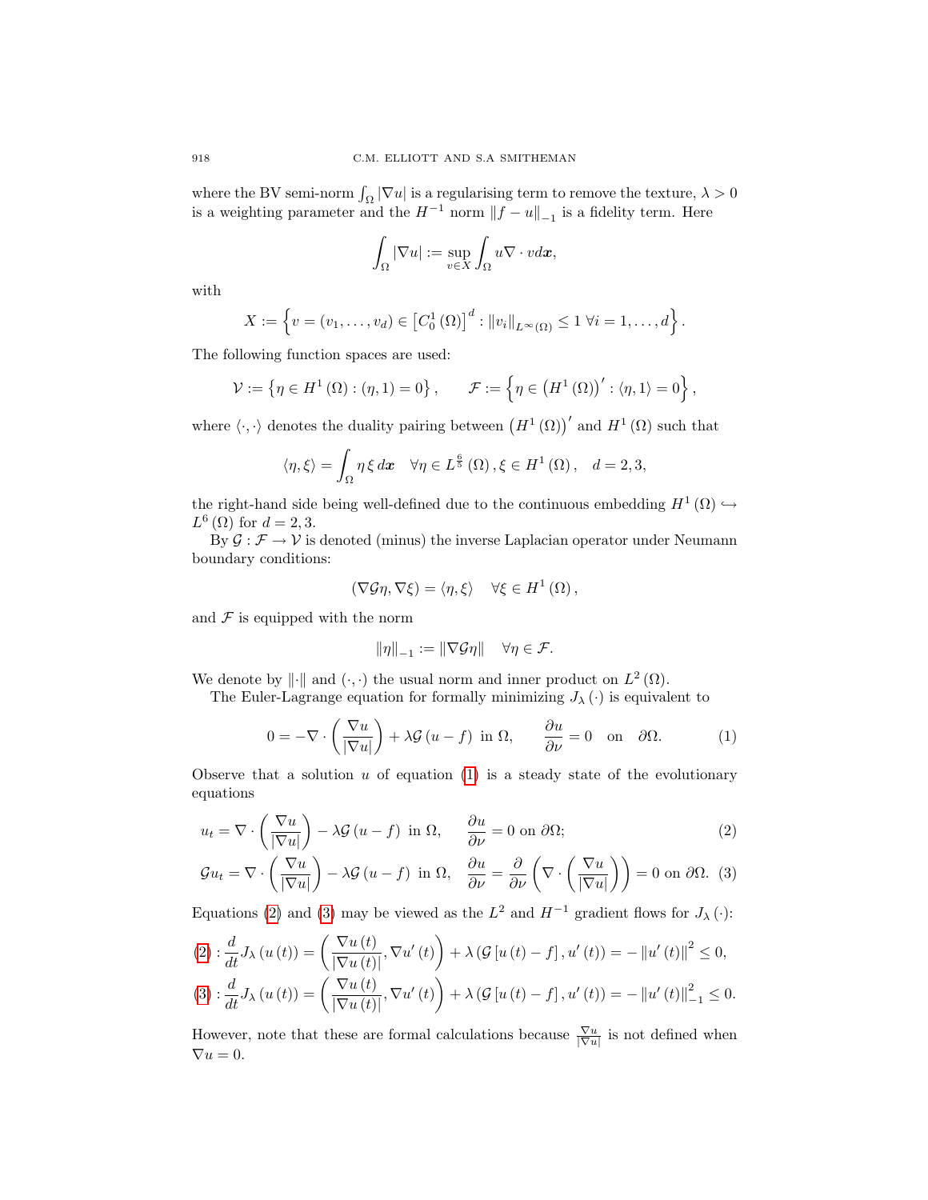where the BV semi-norm  $\int_{\Omega} |\nabla u|$  is a regularising term to remove the texture,  $\lambda > 0$ is a weighting parameter and the  $H^{-1}$  norm  $||f - u||_{-1}$  is a fidelity term. Here

$$
\int_{\Omega} |\nabla u| := \sup_{v \in X} \int_{\Omega} u \nabla \cdot v dx,
$$

with

$$
X := \left\{ v = (v_1, \dots, v_d) \in \left[ C_0^1(\Omega) \right]^d : ||v_i||_{L^{\infty}(\Omega)} \leq 1 \ \forall i = 1, \dots, d \right\}.
$$

The following function spaces are used:

$$
\mathcal{V} := \left\{ \eta \in H^{1}(\Omega) : (\eta, 1) = 0 \right\}, \qquad \mathcal{F} := \left\{ \eta \in \left( H^{1}(\Omega) \right)' : \langle \eta, 1 \rangle = 0 \right\},\
$$

where  $\langle \cdot, \cdot \rangle$  denotes the duality pairing between  $(H^1(\Omega))'$  and  $H^1(\Omega)$  such that

$$
\langle \eta, \xi \rangle = \int_{\Omega} \eta \, \xi \, dx \quad \forall \eta \in L^{\frac{6}{5}}(\Omega) , \xi \in H^{1}(\Omega) , \quad d = 2, 3,
$$

the right-hand side being well-defined due to the continuous embedding  $H^1(\Omega) \hookrightarrow$  $L^{6}(\Omega)$  for  $d = 2, 3$ .

By  $\mathcal{G}: \mathcal{F} \to \mathcal{V}$  is denoted (minus) the inverse Laplacian operator under Neumann boundary conditions:

$$
(\nabla \mathcal{G} \eta, \nabla \xi) = \langle \eta, \xi \rangle \quad \forall \xi \in H^1(\Omega),
$$

and  $\mathcal F$  is equipped with the norm

<span id="page-1-2"></span><span id="page-1-1"></span>
$$
\|\eta\|_{-1}:=\|\nabla {\mathcal G} \eta\|\quad \forall \eta\in {\mathcal F}.
$$

We denote by  $\|\cdot\|$  and  $(\cdot, \cdot)$  the usual norm and inner product on  $L^2(\Omega)$ .

The Euler-Lagrange equation for formally minimizing  $J_{\lambda}(\cdot)$  is equivalent to

<span id="page-1-0"></span>
$$
0 = -\nabla \cdot \left(\frac{\nabla u}{|\nabla u|}\right) + \lambda \mathcal{G}\left(u - f\right) \text{ in } \Omega, \qquad \frac{\partial u}{\partial \nu} = 0 \quad \text{on} \quad \partial \Omega. \tag{1}
$$

Observe that a solution  $u$  of equation [\(1\)](#page-1-0) is a steady state of the evolutionary equations

$$
u_t = \nabla \cdot \left(\frac{\nabla u}{|\nabla u|}\right) - \lambda \mathcal{G}\left(u - f\right) \text{ in } \Omega, \qquad \frac{\partial u}{\partial \nu} = 0 \text{ on } \partial \Omega; \tag{2}
$$

$$
\mathcal{G}u_t = \nabla \cdot \left(\frac{\nabla u}{|\nabla u|}\right) - \lambda \mathcal{G}\left(u - f\right) \text{ in } \Omega, \quad \frac{\partial u}{\partial \nu} = \frac{\partial}{\partial \nu} \left(\nabla \cdot \left(\frac{\nabla u}{|\nabla u|}\right)\right) = 0 \text{ on } \partial \Omega. \tag{3}
$$

Equations [\(2\)](#page-1-1) and [\(3\)](#page-1-2) may be viewed as the  $L^2$  and  $H^{-1}$  gradient flows for  $J_\lambda(\cdot)$ :

$$
(2): \frac{d}{dt} J_{\lambda}(u(t)) = \left(\frac{\nabla u(t)}{|\nabla u(t)|}, \nabla u'(t)\right) + \lambda \left(\mathcal{G}\left[u\left(t\right) - f\right], u'(t)\right) = -\left\|u'(t)\right\|^2 \le 0,
$$
  

$$
(3): \frac{d}{dt} J_{\lambda}(u(t)) = \left(\frac{\nabla u(t)}{|\nabla u(t)|}, \nabla u'(t)\right) + \lambda \left(\mathcal{G}\left[u\left(t\right) - f\right], u'(t)\right) = -\left\|u'(t)\right\|_{-1}^2 \le 0.
$$

However, note that these are formal calculations because  $\frac{\nabla u}{|\nabla u|}$  is not defined when  $\nabla u = 0.$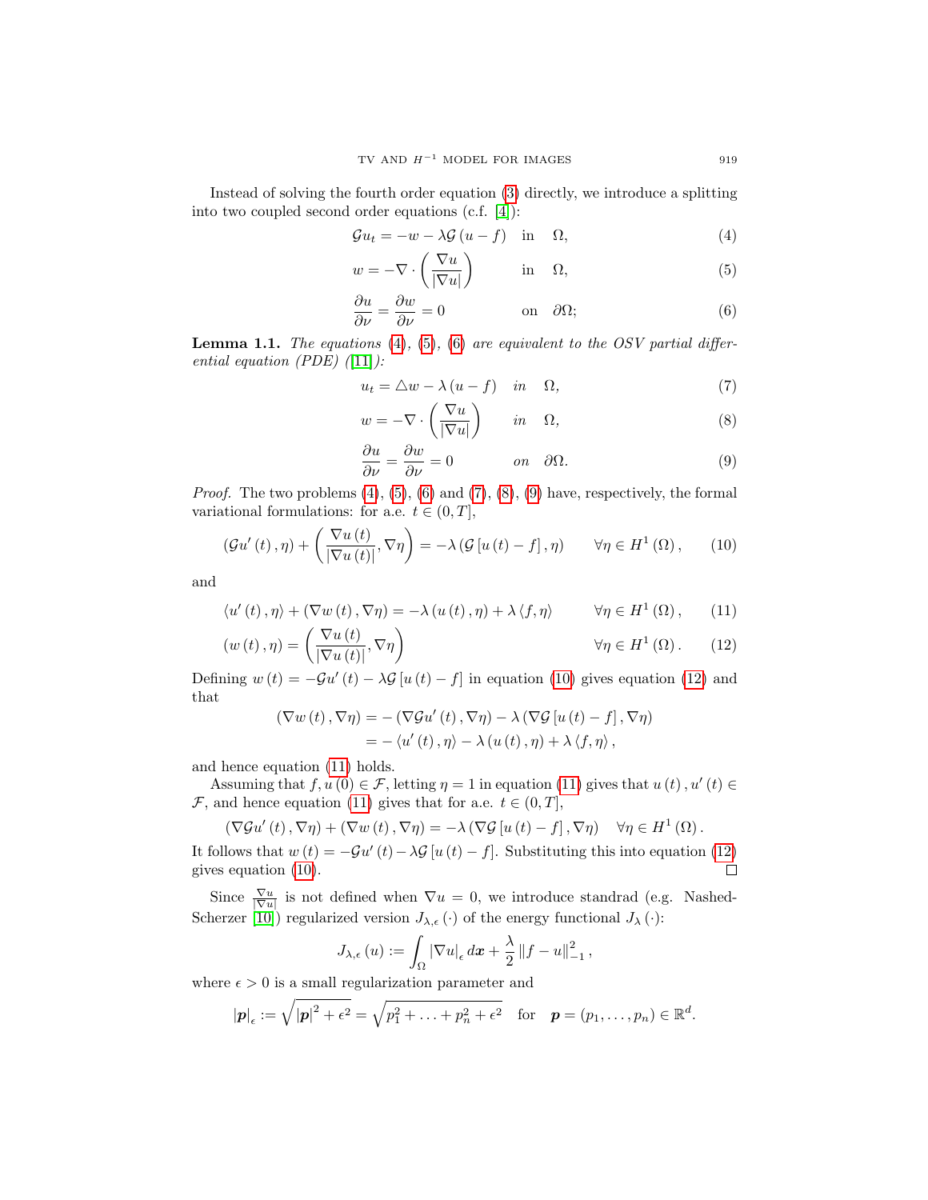Instead of solving the fourth order equation [\(3\)](#page-1-2) directly, we introduce a splitting into two coupled second order equations (c.f. [\[4\]](#page-18-0)):

<span id="page-2-0"></span>
$$
\mathcal{G}u_t = -w - \lambda \mathcal{G}\left(u - f\right) \quad \text{in} \quad \Omega,\tag{4}
$$

$$
w = -\nabla \cdot \left(\frac{\nabla u}{|\nabla u|}\right) \qquad \text{in} \quad \Omega,
$$
 (5)

<span id="page-2-2"></span><span id="page-2-1"></span>
$$
\frac{\partial u}{\partial \nu} = \frac{\partial w}{\partial \nu} = 0 \qquad \text{on} \quad \partial \Omega; \tag{6}
$$

**Lemma 1.1.** The equations  $(4)$ ,  $(5)$ ,  $(6)$  are equivalent to the OSV partial differential equation (PDE)  $(11)$ :

<span id="page-2-3"></span>
$$
u_t = \triangle w - \lambda (u - f) \quad in \quad \Omega,
$$
\n<sup>(7)</sup>

$$
w = -\nabla \cdot \left(\frac{\nabla u}{|\nabla u|}\right) \qquad in \quad \Omega,
$$
\n(8)

<span id="page-2-8"></span><span id="page-2-7"></span><span id="page-2-6"></span><span id="page-2-5"></span><span id="page-2-4"></span>
$$
\frac{\partial u}{\partial \nu} = \frac{\partial w}{\partial \nu} = 0 \qquad on \quad \partial \Omega. \tag{9}
$$

*Proof.* The two problems  $(4)$ ,  $(5)$ ,  $(6)$  and  $(7)$ ,  $(8)$ ,  $(9)$  have, respectively, the formal variational formulations: for a.e.  $t \in (0, T]$ ,

$$
(\mathcal{G}u'(t), \eta) + \left(\frac{\nabla u(t)}{|\nabla u(t)|}, \nabla \eta\right) = -\lambda \left(\mathcal{G}\left[u\left(t\right) - f\right], \eta\right) \qquad \forall \eta \in H^1\left(\Omega\right),\tag{10}
$$

and

$$
\langle u'(t), \eta \rangle + (\nabla w(t), \nabla \eta) = -\lambda \left( u(t), \eta \right) + \lambda \langle f, \eta \rangle \qquad \forall \eta \in H^1(\Omega), \qquad (11)
$$

$$
(w(t), \eta) = \left(\frac{\nabla u(t)}{|\nabla u(t)|}, \nabla \eta\right) \qquad \forall \eta \in H^{1}(\Omega). \qquad (12)
$$

Defining  $w(t) = -\mathcal{G}u'(t) - \lambda \mathcal{G}[u(t) - f]$  in equation [\(10\)](#page-2-6) gives equation [\(12\)](#page-2-7) and that

$$
(\nabla w(t), \nabla \eta) = -(\nabla \mathcal{G}u'(t), \nabla \eta) - \lambda (\nabla \mathcal{G} [u(t) - f], \nabla \eta)
$$
  
= -\langle u'(t), \eta \rangle - \lambda (u(t), \eta) + \lambda \langle f, \eta \rangle,

and hence equation [\(11\)](#page-2-8) holds.

Assuming that  $f, u(0) \in \mathcal{F}$ , letting  $\eta = 1$  in equation [\(11\)](#page-2-8) gives that  $u(t), u'(t) \in$ F, and hence equation [\(11\)](#page-2-8) gives that for a.e.  $t \in (0, T]$ ,

$$
(\nabla \mathcal{G} u'(t), \nabla \eta) + (\nabla w(t), \nabla \eta) = -\lambda (\nabla \mathcal{G} [u(t) - f], \nabla \eta) \quad \forall \eta \in H^1(\Omega).
$$

It follows that  $w(t) = -\mathcal{G}u'(t) - \lambda \mathcal{G}[u(t) - f]$ . Substituting this into equation [\(12\)](#page-2-7)  $\Box$ gives equation [\(10\)](#page-2-6).

Since  $\frac{\nabla u}{|\nabla u|}$  is not defined when  $\nabla u = 0$ , we introduce standrad (e.g. Nashed-Scherzer [\[10\]](#page-19-4)) regularized version  $J_{\lambda,\epsilon}(\cdot)$  of the energy functional  $J_{\lambda}(\cdot)$ :

$$
J_{\lambda,\epsilon}(u) := \int_{\Omega} |\nabla u|_{\epsilon} d\mathbf{x} + \frac{\lambda}{2} ||f - u||_{-1}^{2},
$$

where  $\epsilon > 0$  is a small regularization parameter and

$$
|\mathbf{p}|_{\epsilon} := \sqrt{|\mathbf{p}|^2 + \epsilon^2} = \sqrt{p_1^2 + \ldots + p_n^2 + \epsilon^2}
$$
 for  $\mathbf{p} = (p_1, \ldots, p_n) \in \mathbb{R}^d$ .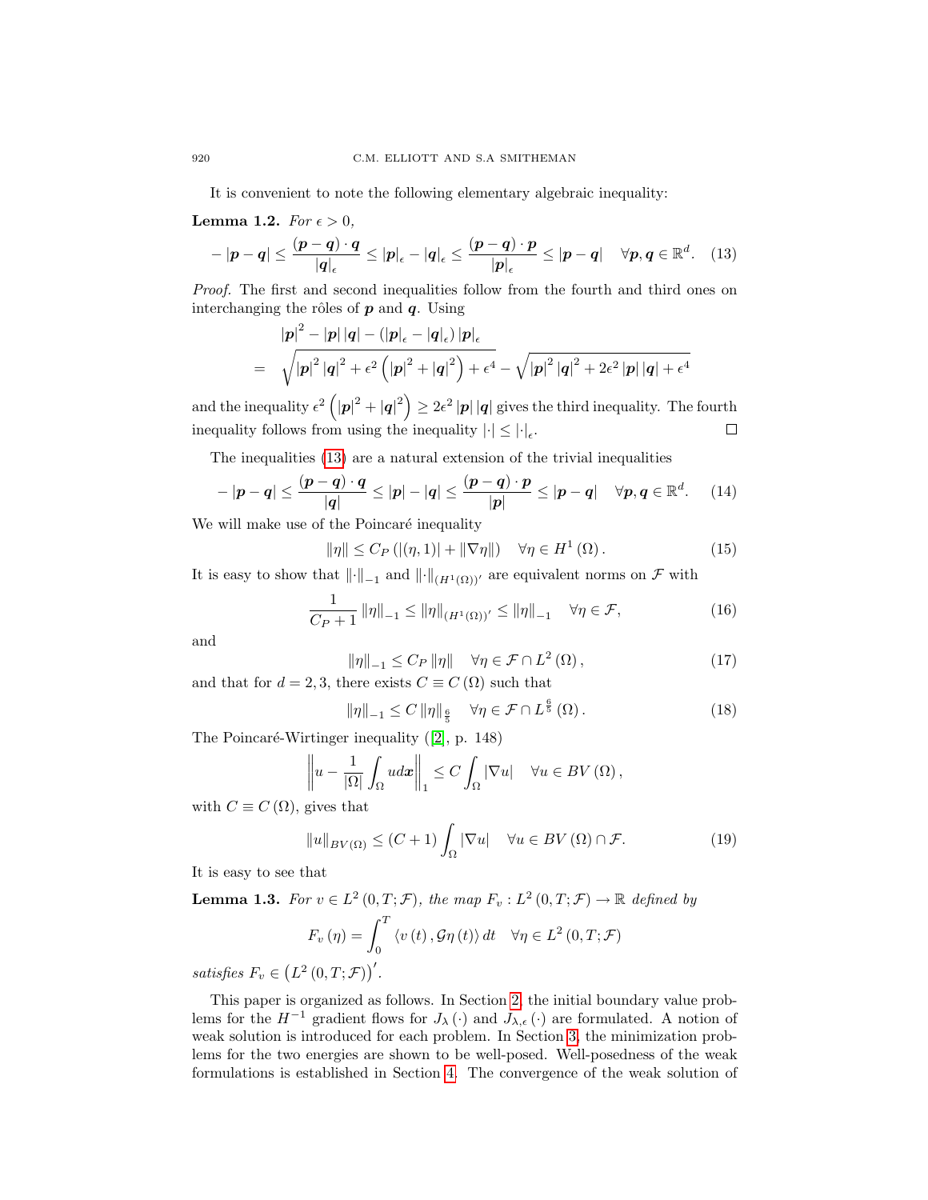It is convenient to note the following elementary algebraic inequality:

## <span id="page-3-2"></span>**Lemma 1.2.** For  $\epsilon > 0$ ,

<span id="page-3-0"></span>
$$
-|p-q| \leq \frac{(p-q)\cdot q}{|q|_{\epsilon}} \leq |p|_{\epsilon} - |q|_{\epsilon} \leq \frac{(p-q)\cdot p}{|p|_{\epsilon}} \leq |p-q| \quad \forall p,q \in \mathbb{R}^{d}.\tag{13}
$$

Proof. The first and second inequalities follow from the fourth and third ones on interchanging the rôles of  $p$  and  $q$ . Using

$$
|\boldsymbol{p}|^{2} - |\boldsymbol{p}| |\boldsymbol{q}| - (|\boldsymbol{p}|_{\epsilon} - |\boldsymbol{q}|_{\epsilon}) |\boldsymbol{p}|_{\epsilon}
$$
  
=  $\sqrt{|\boldsymbol{p}|^{2} |\boldsymbol{q}|^{2} + \epsilon^{2} (|\boldsymbol{p}|^{2} + |\boldsymbol{q}|^{2}) + \epsilon^{4}} - \sqrt{|\boldsymbol{p}|^{2} |\boldsymbol{q}|^{2} + 2\epsilon^{2} |\boldsymbol{p}| |\boldsymbol{q}| + \epsilon^{4}}$ 

and the inequality  $\epsilon^2 (|\mathbf{p}|^2 + |\mathbf{q}|^2) \geq 2\epsilon^2 |\mathbf{p}| |\mathbf{q}|$  gives the third inequality. The fourth inequality follows from using the inequality  $\left|\cdot\right| \leq \left|\cdot\right|_{\epsilon}$ .

The inequalities [\(13\)](#page-3-0) are a natural extension of the trivial inequalities

<span id="page-3-1"></span>
$$
-|p-q| \leq \frac{(p-q)\cdot q}{|q|} \leq |p|-|q| \leq \frac{(p-q)\cdot p}{|p|} \leq |p-q| \quad \forall p,q \in \mathbb{R}^d. \tag{14}
$$

We will make use of the Poincaré inequality

$$
\|\eta\| \le C_P \left( |(\eta, 1)| + \|\nabla \eta\| \right) \quad \forall \eta \in H^1(\Omega). \tag{15}
$$

It is easy to show that  $\|\cdot\|_{-1}$  and  $\|\cdot\|_{(H^1(\Omega))'}$  are equivalent norms on F with

$$
\frac{1}{C_P + 1} \|\eta\|_{-1} \le \|\eta\|_{(H^1(\Omega))'} \le \|\eta\|_{-1} \quad \forall \eta \in \mathcal{F},\tag{16}
$$

and

<span id="page-3-5"></span>
$$
\|\eta\|_{-1} \le C_P \|\eta\| \quad \forall \eta \in \mathcal{F} \cap L^2(\Omega), \tag{17}
$$

and that for  $d = 2, 3$ , there exists  $C \equiv C(\Omega)$  such that

<span id="page-3-4"></span>
$$
\|\eta\|_{-1} \le C \|\eta\|_{\frac{6}{5}} \quad \forall \eta \in \mathcal{F} \cap L^{\frac{6}{5}}(\Omega). \tag{18}
$$

The Poincaré-Wirtinger inequality  $([2], p. 148)$  $([2], p. 148)$  $([2], p. 148)$ 

$$
\left\|u - \frac{1}{|\Omega|} \int_{\Omega} u dx\right\|_{1} \leq C \int_{\Omega} |\nabla u| \quad \forall u \in BV(\Omega),
$$

with  $C \equiv C(\Omega)$ , gives that

<span id="page-3-3"></span>
$$
||u||_{BV(\Omega)} \le (C+1) \int_{\Omega} |\nabla u| \quad \forall u \in BV(\Omega) \cap \mathcal{F}.
$$
 (19)

It is easy to see that

<span id="page-3-6"></span>**Lemma 1.3.** For  $v \in L^2(0,T;\mathcal{F})$ , the map  $F_v: L^2(0,T;\mathcal{F}) \to \mathbb{R}$  defined by

$$
F_v(\eta) = \int_0^T \langle v(t), \mathcal{G}\eta(t) \rangle dt \quad \forall \eta \in L^2(0, T; \mathcal{F})
$$

satisfies  $F_v \in (L^2(0,T;\mathcal{F}))'$ .

This paper is organized as follows. In Section [2,](#page-4-0) the initial boundary value problems for the  $H^{-1}$  gradient flows for  $J_\lambda(\cdot)$  and  $J_{\lambda,\epsilon}(\cdot)$  are formulated. A notion of weak solution is introduced for each problem. In Section [3,](#page-5-0) the minimization problems for the two energies are shown to be well-posed. Well-posedness of the weak formulations is established in Section [4.](#page-7-0) The convergence of the weak solution of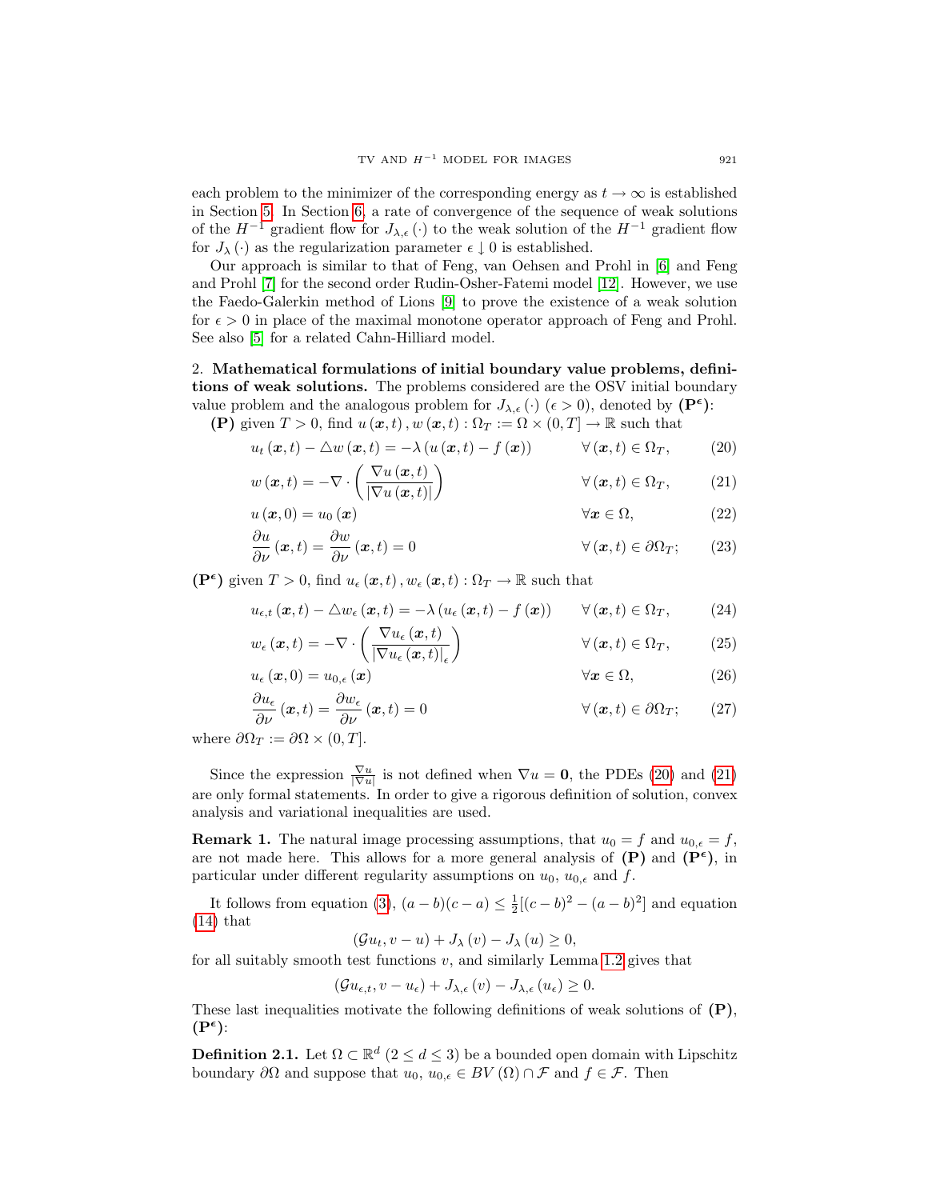each problem to the minimizer of the corresponding energy as  $t \to \infty$  is established in Section [5.](#page-16-0) In Section [6,](#page-18-2) a rate of convergence of the sequence of weak solutions of the  $H^{-1}$  gradient flow for  $J_{\lambda,\epsilon}(\cdot)$  to the weak solution of the  $H^{-1}$  gradient flow for  $J_{\lambda}(\cdot)$  as the regularization parameter  $\epsilon \downarrow 0$  is established.

Our approach is similar to that of Feng, van Oehsen and Prohl in [\[6\]](#page-18-3) and Feng and Prohl [\[7\]](#page-19-1) for the second order Rudin-Osher-Fatemi model [\[12\]](#page-19-2). However, we use the Faedo-Galerkin method of Lions [\[9\]](#page-19-3) to prove the existence of a weak solution for  $\epsilon > 0$  in place of the maximal monotone operator approach of Feng and Prohl. See also [\[5\]](#page-18-4) for a related Cahn-Hilliard model.

## <span id="page-4-0"></span>2. Mathematical formulations of initial boundary value problems, definitions of weak solutions. The problems considered are the OSV initial boundary value problem and the analogous problem for  $J_{\lambda,\epsilon}(\cdot)$  ( $\epsilon > 0$ ), denoted by (P<sup> $\epsilon$ </sup>):

(P) given  $T > 0$ , find  $u(\boldsymbol{x}, t)$ ,  $w(\boldsymbol{x}, t) : \Omega_T := \Omega \times (0, T] \to \mathbb{R}$  such that

<span id="page-4-1"></span>
$$
u_t(\boldsymbol{x},t) - \triangle w(\boldsymbol{x},t) = -\lambda (u(\boldsymbol{x},t) - f(\boldsymbol{x})) \qquad \forall (\boldsymbol{x},t) \in \Omega_T, \qquad (20)
$$

$$
w(\boldsymbol{x},t) = -\nabla \cdot \left(\frac{\nabla u(\boldsymbol{x},t)}{|\nabla u(\boldsymbol{x},t)|}\right) \qquad \forall (\boldsymbol{x},t) \in \Omega_T, \qquad (21)
$$

$$
u(\boldsymbol{x},0) = u_0(\boldsymbol{x}) \qquad \qquad \forall \boldsymbol{x} \in \Omega,\tag{22}
$$

<span id="page-4-2"></span>
$$
\frac{\partial u}{\partial \nu}(\boldsymbol{x},t) = \frac{\partial w}{\partial \nu}(\boldsymbol{x},t) = 0 \qquad \forall (\boldsymbol{x},t) \in \partial \Omega_T; \qquad (23)
$$

 $(\mathbf{P}^{\epsilon})$  given  $T > 0$ , find  $u_{\epsilon}(\boldsymbol{x}, t)$ ,  $w_{\epsilon}(\boldsymbol{x}, t) : \Omega_T \to \mathbb{R}$  such that

<span id="page-4-3"></span>
$$
u_{\epsilon,t}(\boldsymbol{x},t) - \Delta w_{\epsilon}(\boldsymbol{x},t) = -\lambda \left( u_{\epsilon}(\boldsymbol{x},t) - f(\boldsymbol{x}) \right) \qquad \forall (\boldsymbol{x},t) \in \Omega_T, \tag{24}
$$

<span id="page-4-4"></span>
$$
w_{\epsilon}(\boldsymbol{x},t) = -\nabla \cdot \left(\frac{\nabla u_{\epsilon}(\boldsymbol{x},t)}{|\nabla u_{\epsilon}(\boldsymbol{x},t)|_{\epsilon}}\right) \qquad \forall (\boldsymbol{x},t) \in \Omega_T, \qquad (25)
$$

$$
u_{\epsilon}(\boldsymbol{x},0) = u_{0,\epsilon}(\boldsymbol{x}) \qquad \forall \boldsymbol{x} \in \Omega,
$$
 (26)

$$
\frac{\partial u_{\epsilon}}{\partial \nu}(\boldsymbol{x},t) = \frac{\partial w_{\epsilon}}{\partial \nu}(\boldsymbol{x},t) = 0 \qquad \forall (\boldsymbol{x},t) \in \partial \Omega_T; \qquad (27)
$$

where  $\partial \Omega_T := \partial \Omega \times (0,T].$ 

Since the expression  $\frac{\nabla u}{|\nabla u|}$  is not defined when  $\nabla u = \mathbf{0}$ , the PDEs [\(20\)](#page-4-1) and [\(21\)](#page-4-2) are only formal statements. In order to give a rigorous definition of solution, convex analysis and variational inequalities are used.

**Remark 1.** The natural image processing assumptions, that  $u_0 = f$  and  $u_{0,\epsilon} = f$ , are not made here. This allows for a more general analysis of  $(P)$  and  $(P^{\epsilon})$ , in particular under different regularity assumptions on  $u_0$ ,  $u_{0,\epsilon}$  and f.

It follows from equation [\(3\)](#page-1-2),  $(a - b)(c - a) \le \frac{1}{2}[(c - b)^2 - (a - b)^2]$  and equation  $(14)$  that

$$
(\mathcal{G}u_t, v - u) + J_{\lambda}(v) - J_{\lambda}(u) \ge 0,
$$

for all suitably smooth test functions  $v$ , and similarly Lemma [1.2](#page-3-2) gives that

$$
(\mathcal{G}u_{\epsilon,t}, v - u_{\epsilon}) + J_{\lambda,\epsilon}(v) - J_{\lambda,\epsilon}(u_{\epsilon}) \geq 0.
$$

These last inequalities motivate the following definitions of weak solutions of  $(P)$ ,  $(P^{\epsilon})$ :

**Definition 2.1.** Let  $\Omega \subset \mathbb{R}^d$   $(2 \leq d \leq 3)$  be a bounded open domain with Lipschitz boundary  $\partial\Omega$  and suppose that  $u_0, u_{0,\epsilon} \in BV(\Omega) \cap \mathcal{F}$  and  $f \in \mathcal{F}$ . Then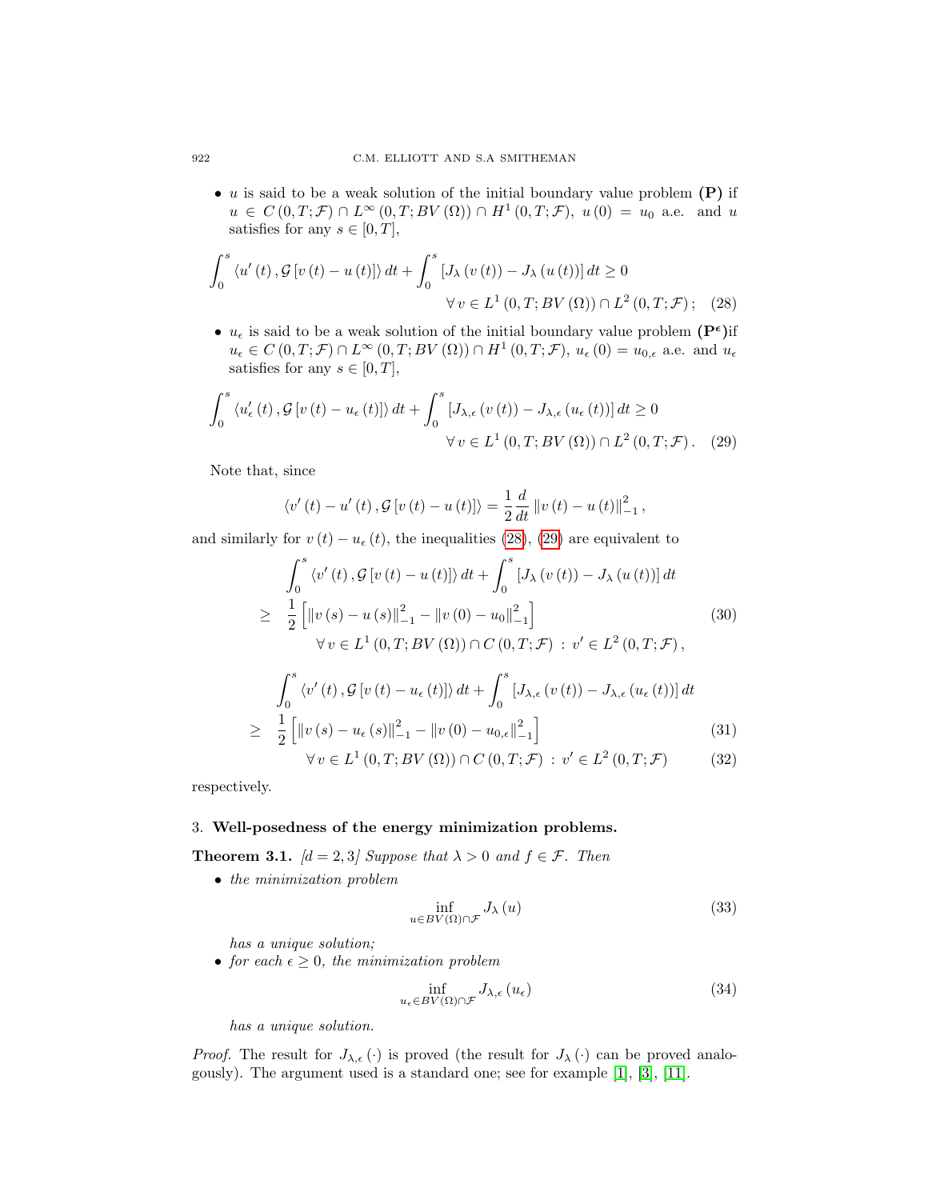• u is said to be a weak solution of the initial boundary value problem  $(P)$  if  $u \in C(0,T;\mathcal{F}) \cap L^{\infty}(0,T;BV(\Omega)) \cap H^{1}(0,T;\mathcal{F}), u(0) = u_0$  a.e. and u satisfies for any  $s \in [0, T]$ ,

$$
\int_{0}^{s} \langle u'(t), \mathcal{G}[v(t) - u(t)] \rangle dt + \int_{0}^{s} [J_{\lambda}(v(t)) - J_{\lambda}(u(t))] dt \ge 0
$$
  

$$
\forall v \in L^{1}(0, T; BV(\Omega)) \cap L^{2}(0, T; \mathcal{F}); \quad (28)
$$

•  $u_{\epsilon}$  is said to be a weak solution of the initial boundary value problem  $(P^{\epsilon})$ if  $u_{\epsilon} \in C(0,T; \mathcal{F}) \cap L^{\infty}(0,T; BV(\Omega)) \cap H^1(0,T; \mathcal{F}), u_{\epsilon}(0) = u_{0,\epsilon}$  a.e. and  $u_{\epsilon}$ satisfies for any  $s \in [0, T]$ ,

$$
\int_{0}^{s} \left\langle u_{\epsilon}'(t), \mathcal{G}[v(t) - u_{\epsilon}(t)] \right\rangle dt + \int_{0}^{s} \left[ J_{\lambda,\epsilon}(v(t)) - J_{\lambda,\epsilon}(u_{\epsilon}(t)) \right] dt \ge 0
$$
  

$$
\forall v \in L^{1}(0, T; BV(\Omega)) \cap L^{2}(0, T; \mathcal{F}). \quad (29)
$$

Note that, since

<span id="page-5-2"></span><span id="page-5-1"></span>
$$
\langle v'(t) - u'(t), G[v(t) - u(t)] \rangle = \frac{1}{2} \frac{d}{dt} ||v(t) - u(t)||_{-1}^{2},
$$

and similarly for  $v(t) - u_{\epsilon}(t)$ , the inequalities [\(28\)](#page-5-1), [\(29\)](#page-5-2) are equivalent to

<span id="page-5-5"></span>
$$
\int_{0}^{s} \langle v'(t), \mathcal{G}[v(t) - u(t)] \rangle dt + \int_{0}^{s} [J_{\lambda}(v(t)) - J_{\lambda}(u(t))] dt
$$
  
\n
$$
\geq \frac{1}{2} \left[ ||v(s) - u(s)||_{-1}^{2} - ||v(0) - u_{0}||_{-1}^{2} \right]
$$
  
\n
$$
\forall v \in L^{1}(0, T; BV(\Omega)) \cap C(0, T; \mathcal{F}) : v' \in L^{2}(0, T; \mathcal{F}),
$$
\n(30)

<span id="page-5-4"></span>
$$
\int_0^s \left\langle v'(t), \mathcal{G}[v(t) - u_{\epsilon}(t)] \right\rangle dt + \int_0^s [J_{\lambda,\epsilon}(v(t)) - J_{\lambda,\epsilon}(u_{\epsilon}(t))] dt
$$
  
\n
$$
\geq \frac{1}{2} \left[ \|v(s) - u_{\epsilon}(s)\|_{-1}^2 - \|v(0) - u_{0,\epsilon}\|_{-1}^2 \right]
$$
(31)

$$
\forall v \in L^{1}(0, T; BV(\Omega)) \cap C(0, T; \mathcal{F}) : v' \in L^{2}(0, T; \mathcal{F}) \tag{32}
$$

respectively.

#### <span id="page-5-6"></span><span id="page-5-0"></span>3. Well-posedness of the energy minimization problems.

**Theorem 3.1.**  $[d = 2, 3]$  Suppose that  $\lambda > 0$  and  $f \in \mathcal{F}$ . Then

• the minimization problem

$$
\inf_{u \in BV(\Omega) \cap \mathcal{F}} J_{\lambda}(u) \tag{33}
$$

has a unique solution;

• for each  $\epsilon \geq 0$ , the minimization problem

<span id="page-5-3"></span>
$$
\inf_{u_{\epsilon} \in BV(\Omega) \cap \mathcal{F}} J_{\lambda,\epsilon}(u_{\epsilon})
$$
\n(34)

has a unique solution.

*Proof.* The result for  $J_{\lambda,\epsilon}(\cdot)$  is proved (the result for  $J_{\lambda}(\cdot)$  can be proved analogously). The argument used is a standard one; see for example [\[1\]](#page-18-5), [\[3\]](#page-18-6), [\[11\]](#page-19-0).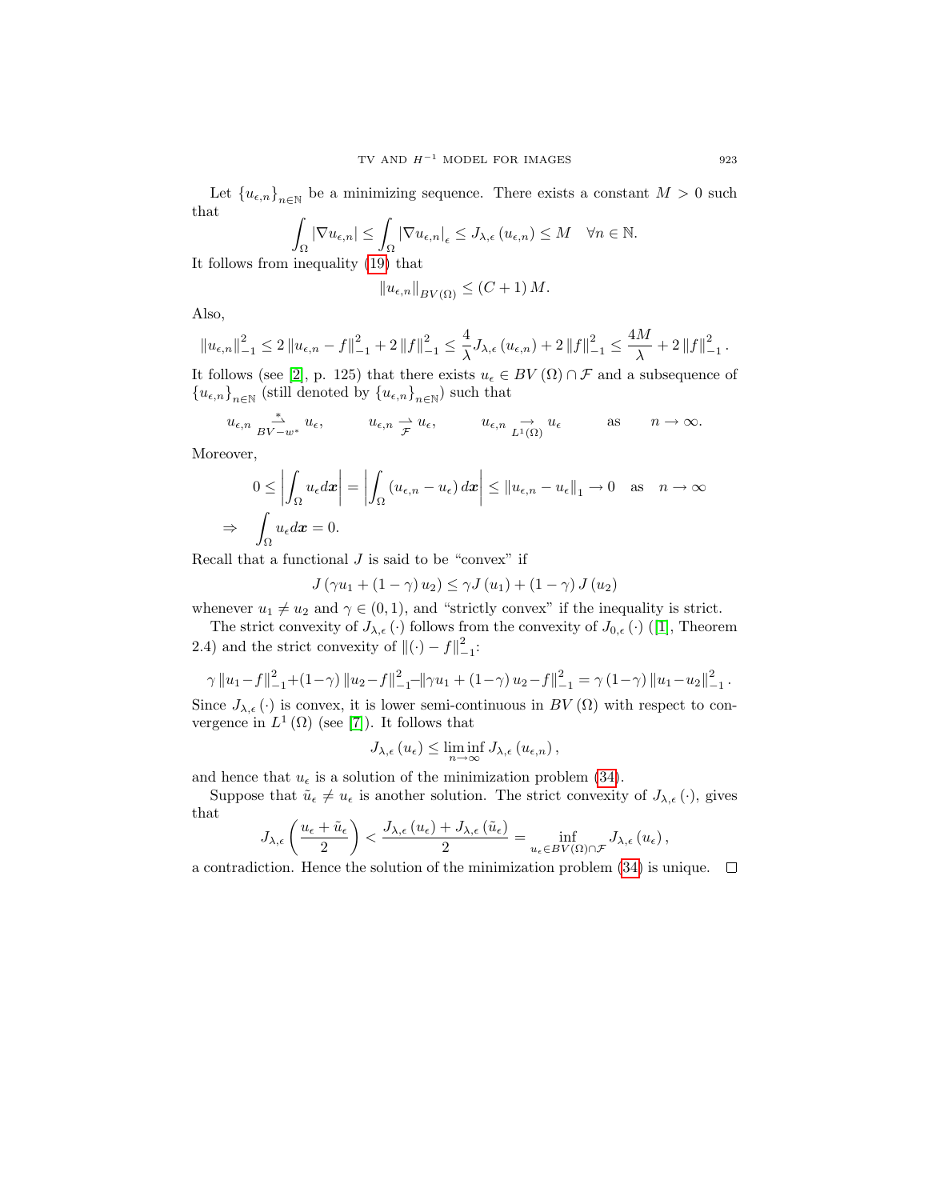Let  ${u_{\epsilon,n}}_{n\in\mathbb{N}}$  be a minimizing sequence. There exists a constant  $M>0$  such that

$$
\int_{\Omega} |\nabla u_{\epsilon,n}| \leq \int_{\Omega} |\nabla u_{\epsilon,n}|_{\epsilon} \leq J_{\lambda,\epsilon} (u_{\epsilon,n}) \leq M \quad \forall n \in \mathbb{N}.
$$

It follows from inequality [\(19\)](#page-3-3) that

$$
||u_{\epsilon,n}||_{BV(\Omega)} \le (C+1) M.
$$

Also,

$$
\left\|u_{\epsilon,n}\right\|_{-1}^{2} \leq 2\left\|u_{\epsilon,n}-f\right\|_{-1}^{2} + 2\left\|f\right\|_{-1}^{2} \leq \frac{4}{\lambda}J_{\lambda,\epsilon}\left(u_{\epsilon,n}\right) + 2\left\|f\right\|_{-1}^{2} \leq \frac{4M}{\lambda} + 2\left\|f\right\|_{-1}^{2}.
$$

It follows (see [\[2\]](#page-18-1), p. 125) that there exists  $u_{\epsilon} \in BV(\Omega) \cap \mathcal{F}$  and a subsequence of  $\left\{u_{\epsilon,n}\right\}_{n\in\mathbb{N}}$  (still denoted by  $\left\{u_{\epsilon,n}\right\}_{n\in\mathbb{N}}$  ) such that

$$
u_{\epsilon,n} \xrightarrow{ \ast}_{BV-w^*} u_{\epsilon}, \qquad \quad u_{\epsilon,n} \xrightarrow{\rightharpoonup} u_{\epsilon}, \qquad \quad u_{\epsilon,n} \xrightarrow{\rightharpoonup} u_{\epsilon} \qquad \quad \text{as} \qquad n \to \infty.
$$

Moreover,

⇒

$$
0 \le \left| \int_{\Omega} u_{\epsilon} d\mathbf{x} \right| = \left| \int_{\Omega} (u_{\epsilon,n} - u_{\epsilon}) d\mathbf{x} \right| \le \| u_{\epsilon,n} - u_{\epsilon} \|_{1} \to 0 \quad \text{as} \quad n \to \infty
$$

$$
\int_{\Omega} u_{\epsilon} d\mathbf{x} = 0.
$$

Recall that a functional  $J$  is said to be "convex" if

$$
J(\gamma u_1 + (1 - \gamma) u_2) \le \gamma J(u_1) + (1 - \gamma) J(u_2)
$$

whenever  $u_1 \neq u_2$  and  $\gamma \in (0, 1)$ , and "strictly convex" if the inequality is strict.

The strict convexity of  $J_{\lambda,\epsilon}(\cdot)$  follows from the convexity of  $J_{0,\epsilon}(\cdot)$  ([\[1\]](#page-18-5), Theorem 2.4) and the strict convexity of  $\|(\cdot) - f\|_{-1}^2$ :

$$
\gamma \|u_1 - f\|_{-1}^2 + (1 - \gamma) \|u_2 - f\|_{-1}^2 - \|\gamma u_1 + (1 - \gamma)u_2 - f\|_{-1}^2 = \gamma (1 - \gamma) \|u_1 - u_2\|_{-1}^2.
$$

Since  $J_{\lambda,\epsilon}(\cdot)$  is convex, it is lower semi-continuous in  $BV(\Omega)$  with respect to convergence in  $L^1(\Omega)$  (see [\[7\]](#page-19-1)). It follows that

$$
J_{\lambda,\epsilon}(u_{\epsilon}) \leq \liminf_{n \to \infty} J_{\lambda,\epsilon}(u_{\epsilon,n}),
$$

and hence that  $u_{\epsilon}$  is a solution of the minimization problem [\(34\)](#page-5-3).

Suppose that  $\tilde{u}_{\epsilon} \neq u_{\epsilon}$  is another solution. The strict convexity of  $J_{\lambda,\epsilon}(\cdot)$ , gives that

$$
J_{\lambda,\epsilon}\left(\frac{u_{\epsilon}+\tilde{u}_{\epsilon}}{2}\right) < \frac{J_{\lambda,\epsilon}\left(u_{\epsilon}\right)+J_{\lambda,\epsilon}\left(\tilde{u}_{\epsilon}\right)}{2} = \inf_{u_{\epsilon}\in BV(\Omega)\cap\mathcal{F}} J_{\lambda,\epsilon}\left(u_{\epsilon}\right),
$$

a contradiction. Hence the solution of the minimization problem  $(34)$  is unique.  $\Box$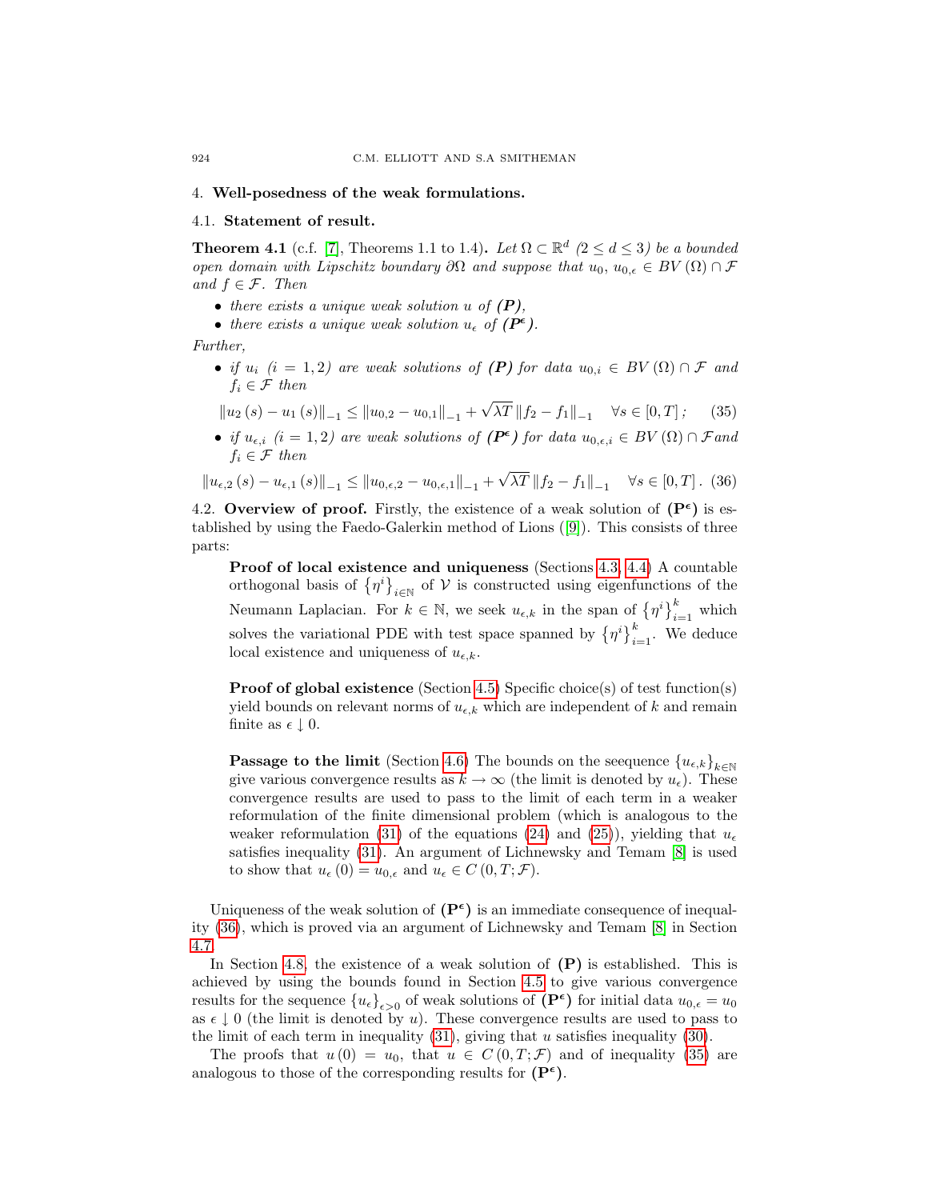#### <span id="page-7-0"></span>4. Well-posedness of the weak formulations.

#### 4.1. Statement of result.

**Theorem 4.1** (c.f. [\[7\]](#page-19-1), Theorems 1.1 to 1.4). Let  $\Omega \subset \mathbb{R}^d$  ( $2 \le d \le 3$ ) be a bounded open domain with Lipschitz boundary ∂Ω and suppose that  $u_0, u_{0,\epsilon} \in BV(\Omega) \cap \mathcal{F}$ and  $f \in \mathcal{F}$ . Then

- there exists a unique weak solution  $u$  of  $(P)$ ,
- there exists a unique weak solution  $u_{\epsilon}$  of  $(P^{\epsilon})$ .

Further,

• if  $u_i$  (i = 1,2) are weak solutions of (P) for data  $u_{0,i} \in BV(\Omega) \cap \mathcal{F}$  and  $f_i \in \mathcal{F}$  then

<span id="page-7-2"></span>
$$
\|u_2(s) - u_1(s)\|_{-1} \le \|u_{0,2} - u_{0,1}\|_{-1} + \sqrt{\lambda T} \|f_2 - f_1\|_{-1} \quad \forall s \in [0, T]; \quad (35)
$$

• if  $u_{\epsilon,i}$  (i = 1,2) are weak solutions of  $(P^{\epsilon})$  for data  $u_{0,\epsilon,i} \in BV(\Omega) \cap \mathcal{F}$  and  $f_i \in \mathcal{F}$  then √

<span id="page-7-1"></span>
$$
\|u_{\epsilon,2}(s) - u_{\epsilon,1}(s)\|_{-1} \le \|u_{0,\epsilon,2} - u_{0,\epsilon,1}\|_{-1} + \sqrt{\lambda T} \|f_2 - f_1\|_{-1} \quad \forall s \in [0,T].
$$
 (36)

4.2. Overview of proof. Firstly, the existence of a weak solution of  $(P^{\epsilon})$  is established by using the Faedo-Galerkin method of Lions ([\[9\]](#page-19-3)). This consists of three parts:

Proof of local existence and uniqueness (Sections [4.3,](#page-8-0) [4.4\)](#page-9-0) A countable orthogonal basis of  $\{\eta^i\}_{i\in\mathbb{N}}$  of  $\mathcal V$  is constructed using eigenfunctions of the Neumann Laplacian. For  $k \in \mathbb{N}$ , we seek  $u_{\epsilon,k}$  in the span of  $\{\eta^i\}_{i=1}^k$  which solves the variational PDE with test space spanned by  $\{\eta^i\}_{i=1}^k$ . We deduce local existence and uniqueness of  $u_{\epsilon k}$ .

Proof of global existence (Section [4.5\)](#page-10-0) Specific choice(s) of test function(s) yield bounds on relevant norms of  $u_{\epsilon,k}$  which are independent of k and remain finite as  $\epsilon \downarrow 0$ .

**Passage to the limit** (Section [4.6\)](#page-11-0) The bounds on the seequence  ${u_{\epsilon,k}}_{k\in\mathbb{N}}$ give various convergence results as  $k \to \infty$  (the limit is denoted by  $u_{\epsilon}$ ). These convergence results are used to pass to the limit of each term in a weaker reformulation of the finite dimensional problem (which is analogous to the weaker reformulation [\(31\)](#page-5-4) of the equations [\(24\)](#page-4-3) and [\(25\)](#page-4-4)), yielding that  $u_{\epsilon}$ satisfies inequality [\(31\)](#page-5-4). An argument of Lichnewsky and Temam [\[8\]](#page-19-5) is used to show that  $u_{\epsilon}(0) = u_{0,\epsilon}$  and  $u_{\epsilon} \in C(0,T; \mathcal{F})$ .

Uniqueness of the weak solution of  $(P^{\epsilon})$  is an immediate consequence of inequality [\(36\)](#page-7-1), which is proved via an argument of Lichnewsky and Temam [\[8\]](#page-19-5) in Section [4.7.](#page-14-0)

In Section [4.8,](#page-15-0) the existence of a weak solution of  $(P)$  is established. This is achieved by using the bounds found in Section [4.5](#page-10-0) to give various convergence results for the sequence  ${u_{\epsilon}}_{\epsilon>0}$  of weak solutions of  $(P^{\epsilon})$  for initial data  $u_{0,\epsilon}=u_0$ as  $\epsilon \downarrow 0$  (the limit is denoted by u). These convergence results are used to pass to the limit of each term in inequality  $(31)$ , giving that u satisfies inequality  $(30)$ .

The proofs that  $u(0) = u_0$ , that  $u \in C(0,T;\mathcal{F})$  and of inequality [\(35\)](#page-7-2) are analogous to those of the corresponding results for  $(P^{\epsilon})$ .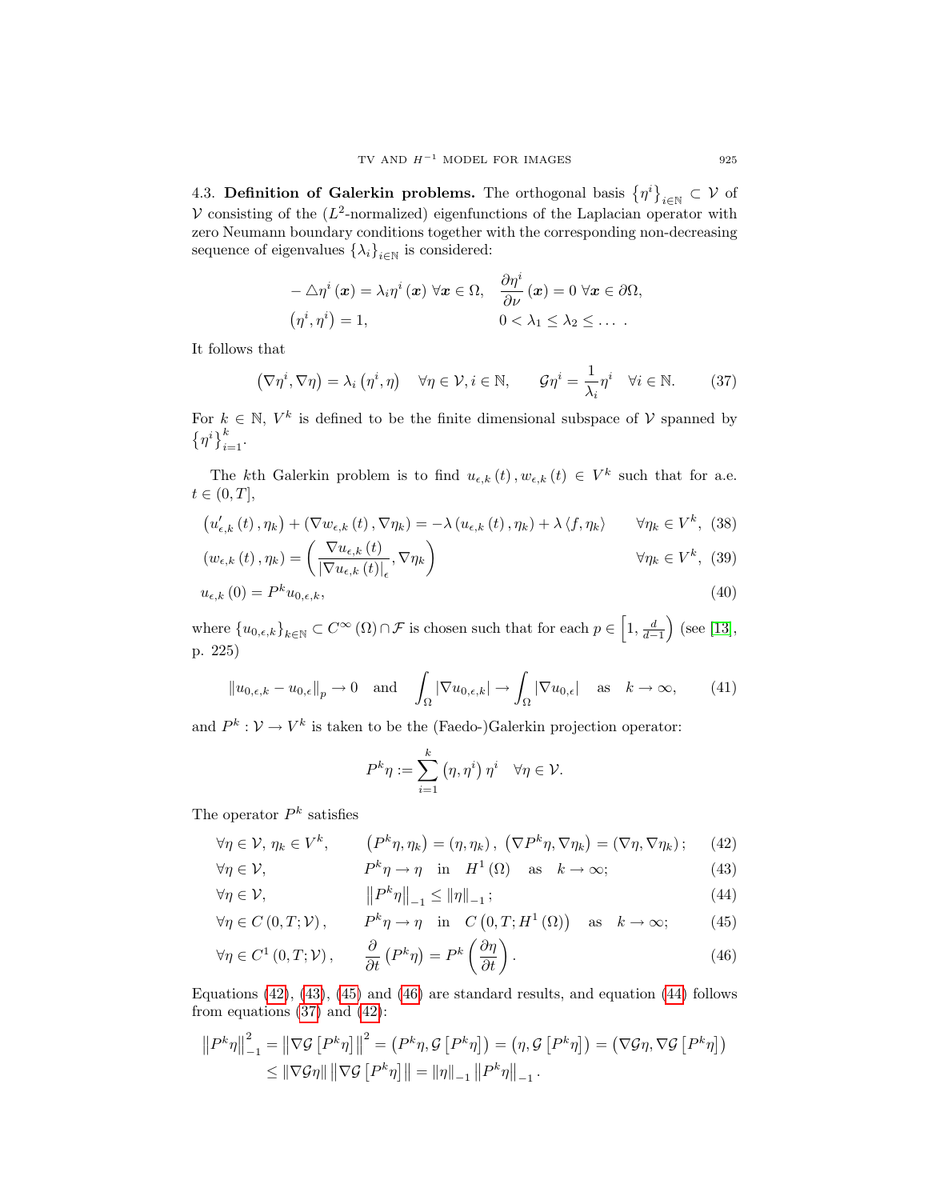<span id="page-8-0"></span>4.3. Definition of Galerkin problems. The orthogonal basis  $\{\eta^i\}_{i\in\mathbb{N}}\subset\mathcal{V}$  of V consisting of the  $(L^2$ -normalized) eigenfunctions of the Laplacian operator with zero Neumann boundary conditions together with the corresponding non-decreasing sequence of eigenvalues  $\{\lambda_i\}_{i\in\mathbb{N}}$  is considered:

$$
-\triangle \eta^{i}(\boldsymbol{x}) = \lambda_{i} \eta^{i}(\boldsymbol{x}) \ \forall \boldsymbol{x} \in \Omega, \quad \frac{\partial \eta^{i}}{\partial \nu}(\boldsymbol{x}) = 0 \ \forall \boldsymbol{x} \in \partial \Omega, (\eta^{i}, \eta^{i}) = 1, \quad 0 < \lambda_{1} \leq \lambda_{2} \leq \dots.
$$

It follows that

<span id="page-8-6"></span>
$$
(\nabla \eta^i, \nabla \eta) = \lambda_i (\eta^i, \eta) \quad \forall \eta \in \mathcal{V}, i \in \mathbb{N}, \qquad \mathcal{G}\eta^i = \frac{1}{\lambda_i} \eta^i \quad \forall i \in \mathbb{N}. \tag{37}
$$

For  $k \in \mathbb{N}$ ,  $V^k$  is defined to be the finite dimensional subspace of V spanned by  $\{\eta^i\}_{i=1}^k$ .

The kth Galerkin problem is to find  $u_{\epsilon,k}(t), w_{\epsilon,k}(t) \in V^k$  such that for a.e.  $t\in (0,T],$ 

$$
\left(u_{\epsilon,k}'\left(t\right),\eta_{k}\right)+\left(\nabla w_{\epsilon,k}\left(t\right),\nabla\eta_{k}\right)=-\lambda\left(u_{\epsilon,k}\left(t\right),\eta_{k}\right)+\lambda\left\langle f,\eta_{k}\right\rangle\qquad\forall\eta_{k}\in V^{k},\tag{38}
$$

$$
\left(w_{\epsilon,k}\left(t\right),\eta_{k}\right) = \left(\frac{\nabla u_{\epsilon,k}\left(t\right)}{\left|\nabla u_{\epsilon,k}\left(t\right)\right|_{\epsilon}},\nabla\eta_{k}\right) \qquad \forall \eta_{k} \in V^{k},\tag{39}
$$

$$
u_{\epsilon,k}(0) = P^k u_{0,\epsilon,k},\tag{40}
$$

where  $\{u_{0,\epsilon,k}\}_{k\in\mathbb{N}}\subset C^{\infty}\left(\Omega\right)\cap\mathcal{F}$  is chosen such that for each  $p\in\left[1,\frac{d}{d-1}\right)$  (see [\[13\]](#page-19-6), p. 225)

<span id="page-8-7"></span>
$$
||u_{0,\epsilon,k} - u_{0,\epsilon}||_p \to 0 \quad \text{and} \quad \int_{\Omega} |\nabla u_{0,\epsilon,k}| \to \int_{\Omega} |\nabla u_{0,\epsilon}| \quad \text{as} \quad k \to \infty,
$$
 (41)

and  $P^k: V \to V^k$  is taken to be the (Faedo-)Galerkin projection operator:

<span id="page-8-9"></span><span id="page-8-8"></span><span id="page-8-5"></span><span id="page-8-4"></span><span id="page-8-3"></span><span id="page-8-2"></span><span id="page-8-1"></span>
$$
P^k \eta := \sum_{i=1}^k (\eta, \eta^i) \, \eta^i \quad \forall \eta \in \mathcal{V}.
$$

The operator  $P^k$  satisfies

$$
\forall \eta \in \mathcal{V}, \eta_k \in V^k, \qquad (P^k \eta, \eta_k) = (\eta, \eta_k), \ (\nabla P^k \eta, \nabla \eta_k) = (\nabla \eta, \nabla \eta_k); \qquad (42)
$$

$$
\forall \eta \in \mathcal{V}, \qquad P^k \eta \to \eta \quad \text{in} \quad H^1(\Omega) \quad \text{as} \quad k \to \infty; \tag{43}
$$

$$
\forall \eta \in \mathcal{V}, \qquad \qquad \left\| P^k \eta \right\|_{-1} \le \left\| \eta \right\|_{-1}; \tag{44}
$$

$$
\forall \eta \in C(0, T; \mathcal{V}), \qquad P^k \eta \to \eta \quad \text{in} \quad C(0, T; H^1(\Omega)) \quad \text{as} \quad k \to \infty; \tag{45}
$$

$$
\forall \eta \in C^{1}(0, T; \mathcal{V}), \qquad \frac{\partial}{\partial t} \left( P^{k} \eta \right) = P^{k} \left( \frac{\partial \eta}{\partial t} \right). \tag{46}
$$

Equations  $(42)$ ,  $(43)$ ,  $(45)$  and  $(46)$  are standard results, and equation  $(44)$  follows from equations  $(37)$  and  $(42)$ :

$$
||P^{k}\eta||_{-1}^{2} = ||\nabla \mathcal{G}[P^{k}\eta]||^{2} = (P^{k}\eta, \mathcal{G}[P^{k}\eta]) = (\eta, \mathcal{G}[P^{k}\eta]) = (\nabla \mathcal{G}\eta, \nabla \mathcal{G}[P^{k}\eta])
$$
  

$$
\leq ||\nabla \mathcal{G}\eta|| ||\nabla \mathcal{G}[P^{k}\eta]|| = ||\eta||_{-1} ||P^{k}\eta||_{-1}.
$$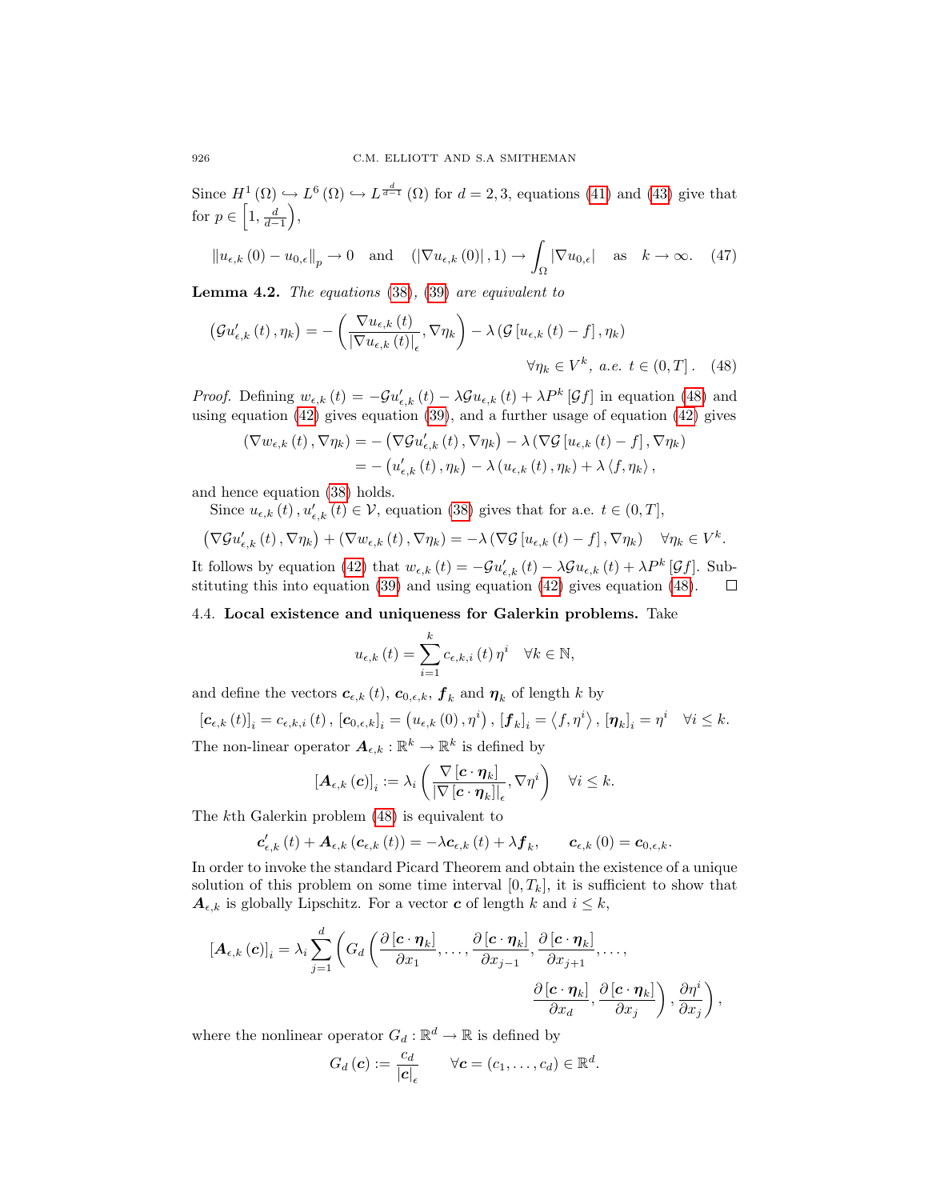Since  $H^1(\Omega) \hookrightarrow L^6(\Omega) \hookrightarrow L^{\frac{d}{d-1}}(\Omega)$  for  $d=2,3$ , equations [\(41\)](#page-8-7) and [\(43\)](#page-8-2) give that for  $p \in \left[1, \frac{d}{d-1}\right)$ ,

<span id="page-9-2"></span>
$$
\|u_{\epsilon,k}(0) - u_{0,\epsilon}\|_{p} \to 0 \quad \text{and} \quad (|\nabla u_{\epsilon,k}(0)|,1) \to \int_{\Omega} |\nabla u_{0,\epsilon}| \quad \text{as} \quad k \to \infty. \tag{47}
$$

**Lemma 4.2.** The equations  $(38)$ ,  $(39)$  are equivalent to

$$
\left(\mathcal{G}u'_{\epsilon,k}\left(t\right),\eta_{k}\right)=-\left(\frac{\nabla u_{\epsilon,k}\left(t\right)}{\left|\nabla u_{\epsilon,k}\left(t\right)\right|_{\epsilon}},\nabla\eta_{k}\right)-\lambda\left(\mathcal{G}\left[u_{\epsilon,k}\left(t\right)-f\right],\eta_{k}\right)\right) \forall\eta_{k}\in V^{k},\ a.e.\ t\in(0,T].\tag{48}
$$

*Proof.* Defining  $w_{\epsilon,k}(t) = -\mathcal{G}u'_{\epsilon,k}(t) - \lambda \mathcal{G}u_{\epsilon,k}(t) + \lambda P^k[\mathcal{G}f]$  in equation [\(48\)](#page-9-1) and using equation [\(42\)](#page-8-1) gives equation [\(39\)](#page-8-9), and a further usage of equation [\(42\)](#page-8-1) gives

$$
\begin{split} \left(\nabla w_{\epsilon,k}\left(t\right),\nabla\eta_{k}\right) &= -\left(\nabla\mathcal{G}u_{\epsilon,k}'\left(t\right),\nabla\eta_{k}\right) - \lambda\left(\nabla\mathcal{G}\left[u_{\epsilon,k}\left(t\right)-f\right],\nabla\eta_{k}\right) \\ &= -\left(u_{\epsilon,k}'\left(t\right),\eta_{k}\right) - \lambda\left(u_{\epsilon,k}\left(t\right),\eta_{k}\right) + \lambda\left\langle f,\eta_{k}\right\rangle, \end{split}
$$

and hence equation [\(38\)](#page-8-8) holds.

Since  $u_{\epsilon,k}(t)$ ,  $u'_{\epsilon,k}(t) \in \mathcal{V}$ , equation [\(38\)](#page-8-8) gives that for a.e.  $t \in (0,T]$ ,

$$
\left(\nabla \mathcal{G} u_{\epsilon,k}'\left(t\right),\nabla \eta_k\right)+\left(\nabla w_{\epsilon,k}\left(t\right),\nabla \eta_k\right)=-\lambda\left(\nabla \mathcal{G}\left[u_{\epsilon,k}\left(t\right)-f\right],\nabla \eta_k\right)\quad\forall \eta_k\in V^k.
$$

It follows by equation [\(42\)](#page-8-1) that  $w_{\epsilon,k}(t) = -\mathcal{G}u'_{\epsilon,k}(t) - \lambda \mathcal{G}u_{\epsilon,k}(t) + \lambda P^k[\mathcal{G}f]$ . Substituting this into equation [\(39\)](#page-8-9) and using equation [\(42\)](#page-8-1) gives equation [\(48\)](#page-9-1). □

## <span id="page-9-0"></span>4.4. Local existence and uniqueness for Galerkin problems. Take

<span id="page-9-1"></span>
$$
u_{\epsilon,k}(t) = \sum_{i=1}^{k} c_{\epsilon,k,i}(t) \, \eta^i \quad \forall k \in \mathbb{N},
$$

and define the vectors  $\boldsymbol{c}_{\epsilon,k} (t)$ ,  $\boldsymbol{c}_{0,\epsilon,k}$ ,  $\boldsymbol{f}_k$  and  $\boldsymbol{\eta}_k$  of length k by

 $\left[\mathbf{c}_{\epsilon,k}\left(t\right)\right]_i = c_{\epsilon,k,i}\left(t\right), \, \left[\mathbf{c}_{0,\epsilon,k}\right]_i = \left(u_{\epsilon,k}\left(0\right),\eta^i\right), \, \left[\mathbf{f}_k\right]_i = \left\langle f,\eta^i\right\rangle, \, \left[\mathbf{\eta}_k\right]_i = \eta^i \quad \forall i \leq k.$ The non-linear operator  $A_{\epsilon,k} : \mathbb{R}^k \to \mathbb{R}^k$  is defined by

$$
\left[\boldsymbol{A}_{\epsilon,k}\left(\boldsymbol{c}\right)\right]_i := \lambda_i \left(\frac{\nabla \left[\boldsymbol{c}\cdot \boldsymbol{\eta}_k\right]}{\left|\nabla \left[\boldsymbol{c}\cdot \boldsymbol{\eta}_k\right]\right|_{\epsilon}}, \nabla \eta^i\right) \quad \forall i \leq k.
$$

The kth Galerkin problem [\(48\)](#page-9-1) is equivalent to

$$
\mathbf{c}'_{\epsilon,k}\left(t\right)+\boldsymbol{A}_{\epsilon,k}\left(\boldsymbol{c}_{\epsilon,k}\left(t\right)\right)=-\lambda\boldsymbol{c}_{\epsilon,k}\left(t\right)+\lambda\boldsymbol{f}_{k},\qquad\boldsymbol{c}_{\epsilon,k}\left(0\right)=\boldsymbol{c}_{0,\epsilon,k}.
$$

In order to invoke the standard Picard Theorem and obtain the existence of a unique solution of this problem on some time interval  $[0, T_k]$ , it is sufficient to show that  $A_{\epsilon,k}$  is globally Lipschitz. For a vector c of length k and  $i \leq k$ ,

$$
[\mathbf{A}_{\epsilon,k}(\mathbf{c})]_i = \lambda_i \sum_{j=1}^d \left( G_d \left( \frac{\partial [\mathbf{c} \cdot \boldsymbol{\eta}_k]}{\partial x_1}, \dots, \frac{\partial [\mathbf{c} \cdot \boldsymbol{\eta}_k]}{\partial x_{j-1}}, \frac{\partial [\mathbf{c} \cdot \boldsymbol{\eta}_k]}{\partial x_{j+1}}, \dots, \right. \right. \\
\left. \frac{\partial [\mathbf{c} \cdot \boldsymbol{\eta}_k]}{\partial x_d}, \frac{\partial [\mathbf{c} \cdot \boldsymbol{\eta}_k]}{\partial x_j} \right), \frac{\partial \eta^i}{\partial x_j} \right),
$$

where the nonlinear operator  $G_d : \mathbb{R}^d \to \mathbb{R}$  is defined by

$$
G_d(\mathbf{c}) := \frac{c_d}{|\mathbf{c}|_{\epsilon}} \qquad \forall \mathbf{c} = (c_1, \ldots, c_d) \in \mathbb{R}^d.
$$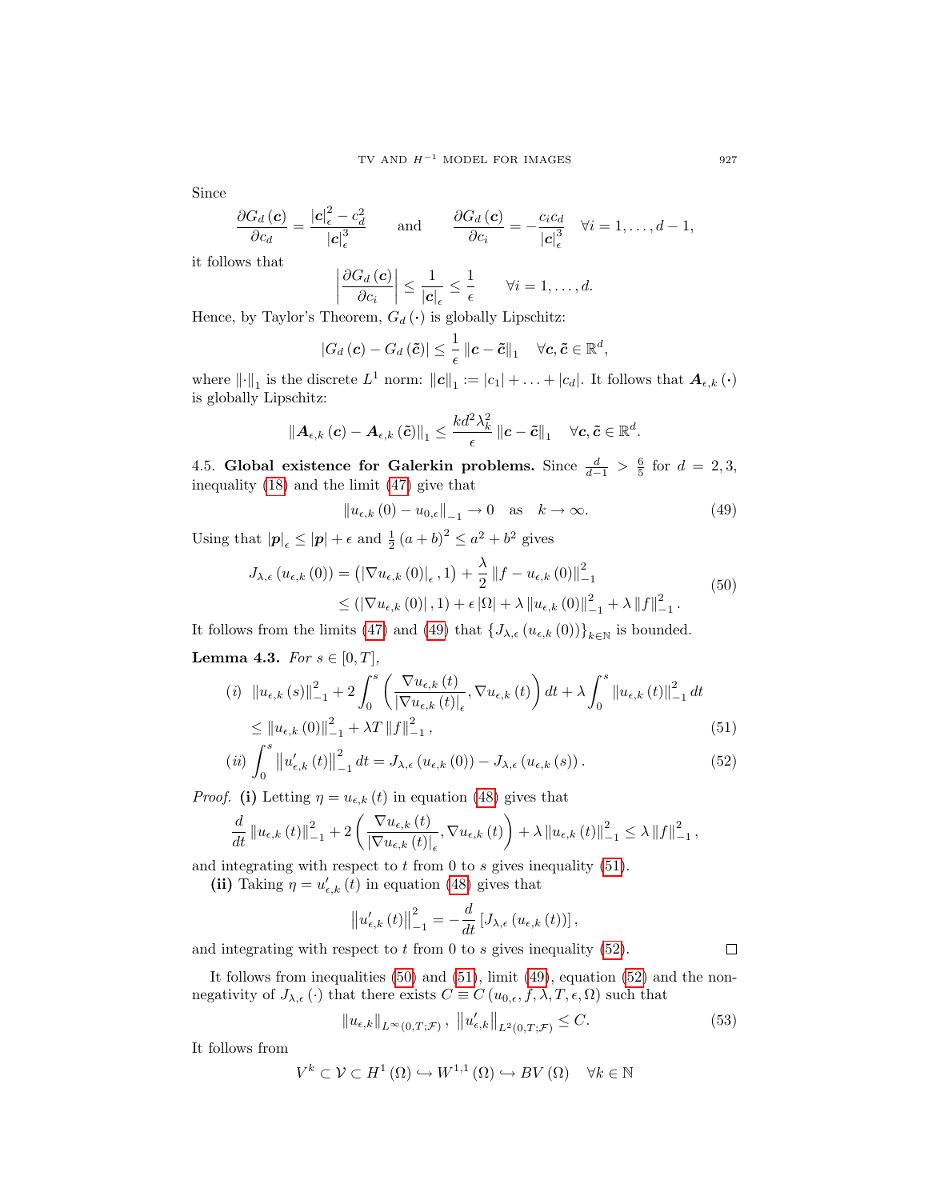Since

$$
\frac{\partial G_d(\mathbf{c})}{\partial c_d} = \frac{|\mathbf{c}|_{\epsilon}^2 - c_d^2}{|\mathbf{c}|_{\epsilon}^3} \quad \text{and} \quad \frac{\partial G_d(\mathbf{c})}{\partial c_i} = -\frac{c_i c_d}{|\mathbf{c}|_{\epsilon}^3} \quad \forall i = 1, \ldots, d-1,
$$

it follows that

$$
\left|\frac{\partial G_d\left(\boldsymbol{c}\right)}{\partial c_i}\right| \leq \frac{1}{\left|\boldsymbol{c}\right|_{\epsilon}} \leq \frac{1}{\epsilon} \qquad \forall i=1,\ldots,d.
$$

Hence, by Taylor's Theorem,  $G_d$  ( $\cdot$ ) is globally Lipschitz:

$$
|G_d(c) - G_d(\tilde{c})| \leq \frac{1}{\epsilon} ||c - \tilde{c}||_1 \quad \forall c, \tilde{c} \in \mathbb{R}^d,
$$

where  $\|\cdot\|_1$  is the discrete  $L^1$  norm:  $||c||_1 := |c_1| + \ldots + |c_d|$ . It follows that  $A_{\epsilon,k}(\cdot)$ is globally Lipschitz:

$$
\left\|\boldsymbol{A}_{\epsilon,k}\left(\boldsymbol{c}\right)-\boldsymbol{A}_{\epsilon,k}\left(\tilde{\boldsymbol{c}}\right)\right\|_{1} \leq \frac{k d^2 \lambda_k^2}{\epsilon} \left\|\boldsymbol{c}-\tilde{\boldsymbol{c}}\right\|_{1} \quad \forall \boldsymbol{c}, \tilde{\boldsymbol{c}} \in \mathbb{R}^d.
$$

<span id="page-10-0"></span>4.5. Global existence for Galerkin problems. Since  $\frac{d}{d-1} > \frac{6}{5}$  for  $d = 2,3$ , inequality [\(18\)](#page-3-4) and the limit [\(47\)](#page-9-2) give that

<span id="page-10-1"></span>
$$
||u_{\epsilon,k}(0) - u_{0,\epsilon}||_{-1} \to 0 \quad \text{as} \quad k \to \infty.
$$
 (49)

<span id="page-10-4"></span>Using that  $|\mathbf{p}|_{\epsilon} \leq |\mathbf{p}| + \epsilon$  and  $\frac{1}{2}(a+b)^2 \leq a^2 + b^2$  gives

$$
J_{\lambda,\epsilon} (u_{\epsilon,k} (0)) = (|\nabla u_{\epsilon,k} (0)|_{\epsilon}, 1) + \frac{\lambda}{2} ||f - u_{\epsilon,k} (0)||_{-1}^{2}
$$
  
 
$$
\leq (|\nabla u_{\epsilon,k} (0)|, 1) + \epsilon |\Omega| + \lambda ||u_{\epsilon,k} (0)||_{-1}^{2} + \lambda ||f||_{-1}^{2}.
$$
 (50)

It follows from the limits [\(47\)](#page-9-2) and [\(49\)](#page-10-1) that  $\{J_{\lambda,\epsilon}(u_{\epsilon,k}(0))\}_{k\in\mathbb{N}}$  is bounded.

Lemma 4.3. For  $s \in [0, T]$ ,

$$
(i) \quad \|u_{\epsilon,k}(s)\|_{-1}^{2} + 2\int_{0}^{s} \left(\frac{\nabla u_{\epsilon,k}(t)}{|\nabla u_{\epsilon,k}(t)|_{\epsilon}}, \nabla u_{\epsilon,k}(t)\right)dt + \lambda \int_{0}^{s} \|u_{\epsilon,k}(t)\|_{-1}^{2} dt
$$
  

$$
\leq \|u_{\epsilon,k}(0)\|_{-1}^{2} + \lambda T \|f\|_{-1}^{2},
$$
\n
$$
(51)
$$

$$
(ii) \int_0^s \left\| u'_{\epsilon,k}(t) \right\|_{-1}^2 dt = J_{\lambda,\epsilon}(u_{\epsilon,k}(0)) - J_{\lambda,\epsilon}(u_{\epsilon,k}(s)).
$$
\n
$$
(52)
$$

*Proof.* (i) Letting  $\eta = u_{\epsilon,k}(t)$  in equation [\(48\)](#page-9-1) gives that

$$
\frac{d}{dt} \left\| u_{\epsilon,k} \left( t \right) \right\|_{-1}^{2} + 2 \left( \frac{\nabla u_{\epsilon,k} \left( t \right)}{\left| \nabla u_{\epsilon,k} \left( t \right) \right|_{\epsilon}}, \nabla u_{\epsilon,k} \left( t \right) \right) + \lambda \left\| u_{\epsilon,k} \left( t \right) \right\|_{-1}^{2} \leq \lambda \left\| f \right\|_{-1}^{2},
$$

and integrating with respect to  $t$  from 0 to  $s$  gives inequality [\(51\)](#page-10-2).

(ii) Taking  $\eta = u'_{\epsilon,k}(t)$  in equation [\(48\)](#page-9-1) gives that

$$
\left\|u'_{\epsilon,k}(t)\right\|_{-1}^{2}=-\frac{d}{dt}\left[J_{\lambda,\epsilon}\left(u_{\epsilon,k}(t)\right)\right],
$$

and integrating with respect to  $t$  from 0 to  $s$  gives inequality [\(52\)](#page-10-3).

It follows from inequalities  $(50)$  and  $(51)$ , limit  $(49)$ , equation  $(52)$  and the nonnegativity of  $J_{\lambda,\epsilon}(\cdot)$  that there exists  $C \equiv C(u_{0,\epsilon}, f, \lambda, T, \epsilon, \Omega)$  such that

<span id="page-10-5"></span>
$$
||u_{\epsilon,k}||_{L^{\infty}(0,T;\mathcal{F})}, ||u'_{\epsilon,k}||_{L^{2}(0,T;\mathcal{F})} \leq C.
$$
\n(53)

It follows from

$$
V^k \subset \mathcal{V} \subset H^1 \left( \Omega \right) \hookrightarrow W^{1,1} \left( \Omega \right) \hookrightarrow BV \left( \Omega \right) \quad \forall k \in \mathbb{N}
$$

<span id="page-10-3"></span><span id="page-10-2"></span> $\Box$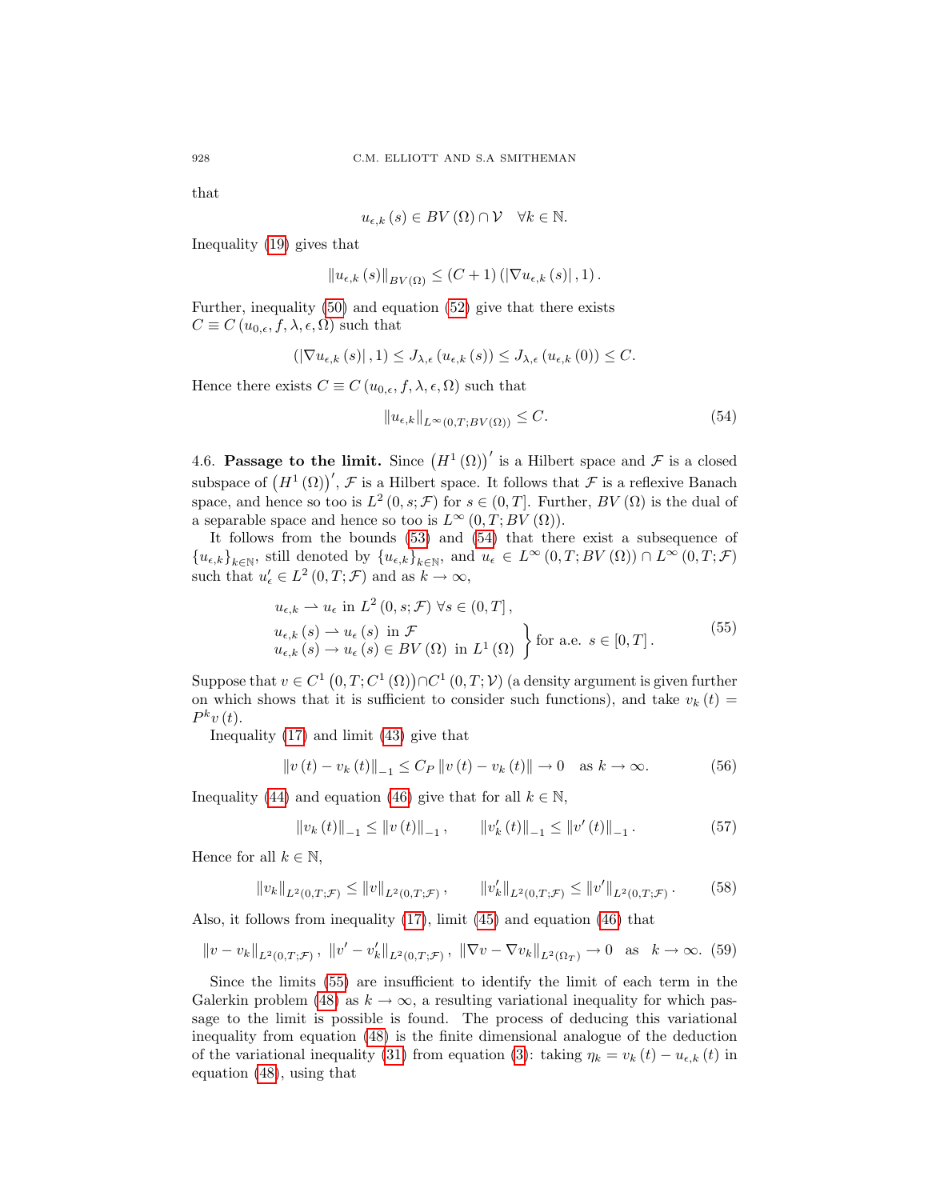that

$$
u_{\epsilon,k}\left(s\right)\in BV\left(\Omega\right)\cap\mathcal{V}\quad\forall k\in\mathbb{N}.
$$

Inequality [\(19\)](#page-3-3) gives that

$$
||u_{\epsilon,k}(s)||_{BV(\Omega)} \leq (C+1) (|\nabla u_{\epsilon,k}(s)|, 1).
$$

Further, inequality [\(50\)](#page-10-4) and equation [\(52\)](#page-10-3) give that there exists  $C \equiv C(u_{0,\epsilon}, f, \lambda, \epsilon, \Omega)$  such that

$$
\left( \left| \nabla u_{\epsilon,k} \left( s \right) \right|, 1 \right) \leq J_{\lambda,\epsilon} \left( u_{\epsilon,k} \left( s \right) \right) \leq J_{\lambda,\epsilon} \left( u_{\epsilon,k} \left( 0 \right) \right) \leq C.
$$

Hence there exists  $C \equiv C(u_{0,\epsilon}, f, \lambda, \epsilon, \Omega)$  such that

<span id="page-11-1"></span>
$$
||u_{\epsilon,k}||_{L^{\infty}(0,T;BV(\Omega))} \leq C.
$$
\n(54)

<span id="page-11-0"></span>4.6. Passage to the limit. Since  $(H^1(\Omega))'$  is a Hilbert space and  $\mathcal F$  is a closed subspace of  $(H^1(\Omega))'$ , F is a Hilbert space. It follows that F is a reflexive Banach space, and hence so too is  $L^2(0, s; \mathcal{F})$  for  $s \in (0, T]$ . Further,  $BV(\Omega)$  is the dual of a separable space and hence so too is  $L^{\infty}(0,T;BV(\Omega)).$ 

It follows from the bounds [\(53\)](#page-10-5) and [\(54\)](#page-11-1) that there exist a subsequence of  ${u_{\epsilon,k}}_{k\in\mathbb{N}}$ , still denoted by  ${u_{\epsilon,k}}_{k\in\mathbb{N}}$ , and  $u_{\epsilon}\in L^{\infty}(0,T;BV(\Omega))\cap L^{\infty}(0,T;\mathcal{F})$ such that  $u'_{\epsilon} \in L^2(0,T; \mathcal{F})$  and as  $k \to \infty$ ,

$$
u_{\epsilon,k} \rightharpoonup u_{\epsilon} \text{ in } L^{2}(0,s;\mathcal{F}) \ \forall s \in (0,T],
$$
  
\n
$$
u_{\epsilon,k}(s) \rightharpoonup u_{\epsilon}(s) \text{ in } \mathcal{F}
$$
  
\n
$$
u_{\epsilon,k}(s) \rightharpoonup u_{\epsilon}(s) \in BV(\Omega) \text{ in } L^{1}(\Omega) \}
$$
 for a.e.  $s \in [0,T]$ .  
\n(55)

<span id="page-11-2"></span>Suppose that  $v \in C^1(0,T;C^1(\Omega)) \cap C^1(0,T;V)$  (a density argument is given further on which shows that it is sufficient to consider such functions), and take  $v_k(t) =$  $P^k v(t)$ .

Inequality [\(17\)](#page-3-5) and limit [\(43\)](#page-8-2) give that

<span id="page-11-5"></span>
$$
||v(t) - v_k(t)||_{-1} \le C_P ||v(t) - v_k(t)|| \to 0 \quad \text{as } k \to \infty.
$$
 (56)

Inequality [\(44\)](#page-8-5) and equation [\(46\)](#page-8-4) give that for all  $k \in \mathbb{N}$ ,

<span id="page-11-6"></span>
$$
\|v_{k}(t)\|_{-1} \le \|v(t)\|_{-1}, \qquad \|v'_{k}(t)\|_{-1} \le \|v'(t)\|_{-1}.
$$
 (57)

Hence for all  $k \in \mathbb{N}$ ,

<span id="page-11-3"></span>
$$
||v_k||_{L^2(0,T;\mathcal{F})} \le ||v||_{L^2(0,T;\mathcal{F})}, \qquad ||v'_k||_{L^2(0,T;\mathcal{F})} \le ||v'||_{L^2(0,T;\mathcal{F})}. \tag{58}
$$

Also, it follows from inequality [\(17\)](#page-3-5), limit [\(45\)](#page-8-3) and equation [\(46\)](#page-8-4) that

<span id="page-11-4"></span>
$$
||v - v_k||_{L^2(0,T;\mathcal{F})}, ||v' - v'_k||_{L^2(0,T;\mathcal{F})}, ||\nabla v - \nabla v_k||_{L^2(\Omega_T)} \to 0 \text{ as } k \to \infty. (59)
$$

Since the limits [\(55\)](#page-11-2) are insufficient to identify the limit of each term in the Galerkin problem [\(48\)](#page-9-1) as  $k \to \infty$ , a resulting variational inequality for which passage to the limit is possible is found. The process of deducing this variational inequality from equation [\(48\)](#page-9-1) is the finite dimensional analogue of the deduction of the variational inequality [\(31\)](#page-5-4) from equation [\(3\)](#page-1-2): taking  $\eta_k = v_k(t) - u_{\epsilon,k}(t)$  in equation [\(48\)](#page-9-1), using that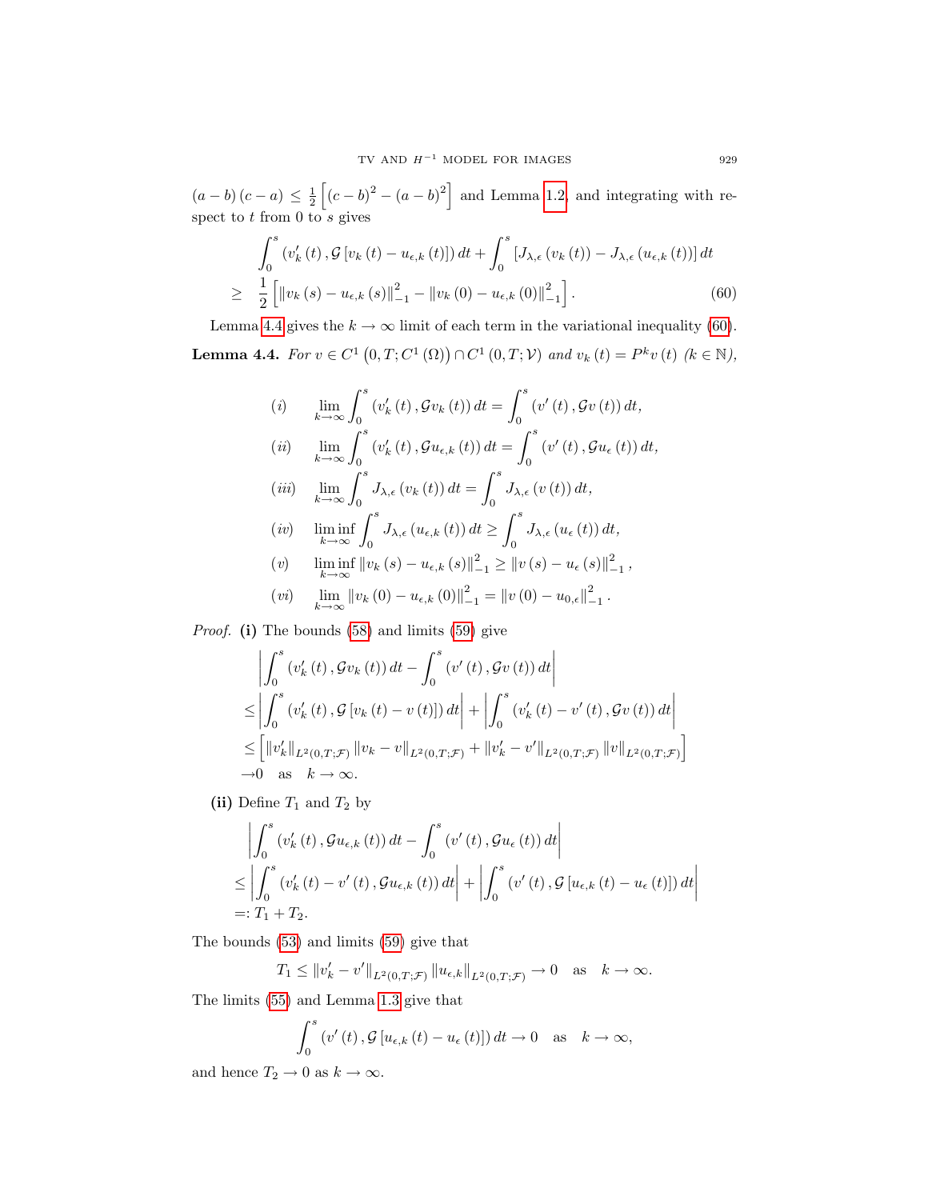$(a - b)(c - a) \leq \frac{1}{2} \left[ (c - b)^2 - (a - b)^2 \right]$  and Lemma [1.2,](#page-3-2) and integrating with respect to  $t$  from 0 to  $s$  gives

<span id="page-12-1"></span>
$$
\int_{0}^{s} \left(v_{k}'\left(t\right), \mathcal{G}\left[v_{k}\left(t\right)-u_{\epsilon,k}\left(t\right)\right]\right)dt + \int_{0}^{s} \left[J_{\lambda,\epsilon}\left(v_{k}\left(t\right)\right)-J_{\lambda,\epsilon}\left(u_{\epsilon,k}\left(t\right)\right)\right]dt
$$
\n
$$
\geq \frac{1}{2}\left[\left\|v_{k}\left(s\right)-u_{\epsilon,k}\left(s\right)\right\|_{-1}^{2}-\left\|v_{k}\left(0\right)-u_{\epsilon,k}\left(0\right)\right\|_{-1}^{2}\right].
$$
\n(60)

<span id="page-12-0"></span>Lemma [4.4](#page-12-0) gives the  $k \to \infty$  limit of each term in the variational inequality [\(60\)](#page-12-1). **Lemma 4.4.** For  $v \in C^1(0,T;C^1(\Omega)) \cap C^1(0,T;\mathcal{V})$  and  $v_k(t) = P^k v(t)$  ( $k \in \mathbb{N}$ ),

(i) 
$$
\lim_{k \to \infty} \int_0^s (v'_k(t), \mathcal{G}v_k(t)) dt = \int_0^s (v'(t), \mathcal{G}v(t)) dt,
$$
  
\n(ii) 
$$
\lim_{k \to \infty} \int_0^s (v'_k(t), \mathcal{G}u_{\epsilon,k}(t)) dt = \int_0^s (v'(t), \mathcal{G}u_{\epsilon}(t)) dt,
$$

$$
(iii) \quad \lim_{k \to \infty} \int_0^s J_{\lambda, \epsilon} (v_k(t)) dt = \int_0^s J_{\lambda, \epsilon} (v(t)) dt,
$$

$$
(iv) \quad \liminf_{k \to \infty} \int_0^s J_{\lambda, \epsilon} (u_{\epsilon, k}(t)) dt \ge \int_0^s J_{\lambda, \epsilon} (u_{\epsilon}(t)) dt,
$$

(v) 
$$
\liminf_{k \to \infty} ||v_k(s) - u_{\epsilon,k}(s)||_{-1}^2 \ge ||v(s) - u_{\epsilon}(s)||_{-1}^2,
$$

$$
(vi) \quad \lim_{k \to \infty} ||v_k(0) - u_{\epsilon,k}(0)||_{-1}^2 = ||v(0) - u_{0,\epsilon}||_{-1}^2.
$$

Proof. (i) The bounds [\(58\)](#page-11-3) and limits [\(59\)](#page-11-4) give

$$
\left| \int_{0}^{s} \left( v'_{k}(t), \mathcal{G}v_{k}(t) \right) dt - \int_{0}^{s} \left( v'(t), \mathcal{G}v(t) \right) dt \right|
$$
  
\n
$$
\leq \left| \int_{0}^{s} \left( v'_{k}(t), \mathcal{G} \left[ v_{k}(t) - v(t) \right] \right) dt \right| + \left| \int_{0}^{s} \left( v'_{k}(t) - v'(t), \mathcal{G}v(t) \right) dt \right|
$$
  
\n
$$
\leq \left[ \left\| v'_{k} \right\|_{L^{2}(0,T;\mathcal{F})} \left\| v_{k} - v \right\|_{L^{2}(0,T;\mathcal{F})} + \left\| v'_{k} - v' \right\|_{L^{2}(0,T;\mathcal{F})} \left\| v \right\|_{L^{2}(0,T;\mathcal{F})} \right]
$$
  
\n
$$
\to 0 \text{ as } k \to \infty.
$$

(ii) Define  $T_1$  and  $T_2$  by

$$
\left| \int_{0}^{s} \left( v_{k}'(t), \mathcal{G} u_{\epsilon,k}(t) \right) dt - \int_{0}^{s} \left( v'(t), \mathcal{G} u_{\epsilon}(t) \right) dt \right|
$$
  
\n
$$
\leq \left| \int_{0}^{s} \left( v_{k}'(t) - v'(t), \mathcal{G} u_{\epsilon,k}(t) \right) dt \right| + \left| \int_{0}^{s} \left( v'(t), \mathcal{G} \left[ u_{\epsilon,k}(t) - u_{\epsilon}(t) \right] \right) dt \right|
$$
  
\n=: T<sub>1</sub> + T<sub>2</sub>.

The bounds [\(53\)](#page-10-5) and limits [\(59\)](#page-11-4) give that

 $T_1 \leq ||v'_k - v'||_{L^2(0,T;\mathcal{F})} ||u_{\epsilon,k}||_{L^2(0,T;\mathcal{F})} \to 0 \text{ as } k \to \infty.$ 

The limits [\(55\)](#page-11-2) and Lemma [1.3](#page-3-6) give that

$$
\int_0^s \left( v'(t), \mathcal{G}\left[u_{\epsilon,k}\left(t\right) - u_{\epsilon}\left(t\right)\right]\right) dt \to 0 \quad \text{as} \quad k \to \infty,
$$

and hence  $T_2 \to 0$  as  $k \to \infty$ .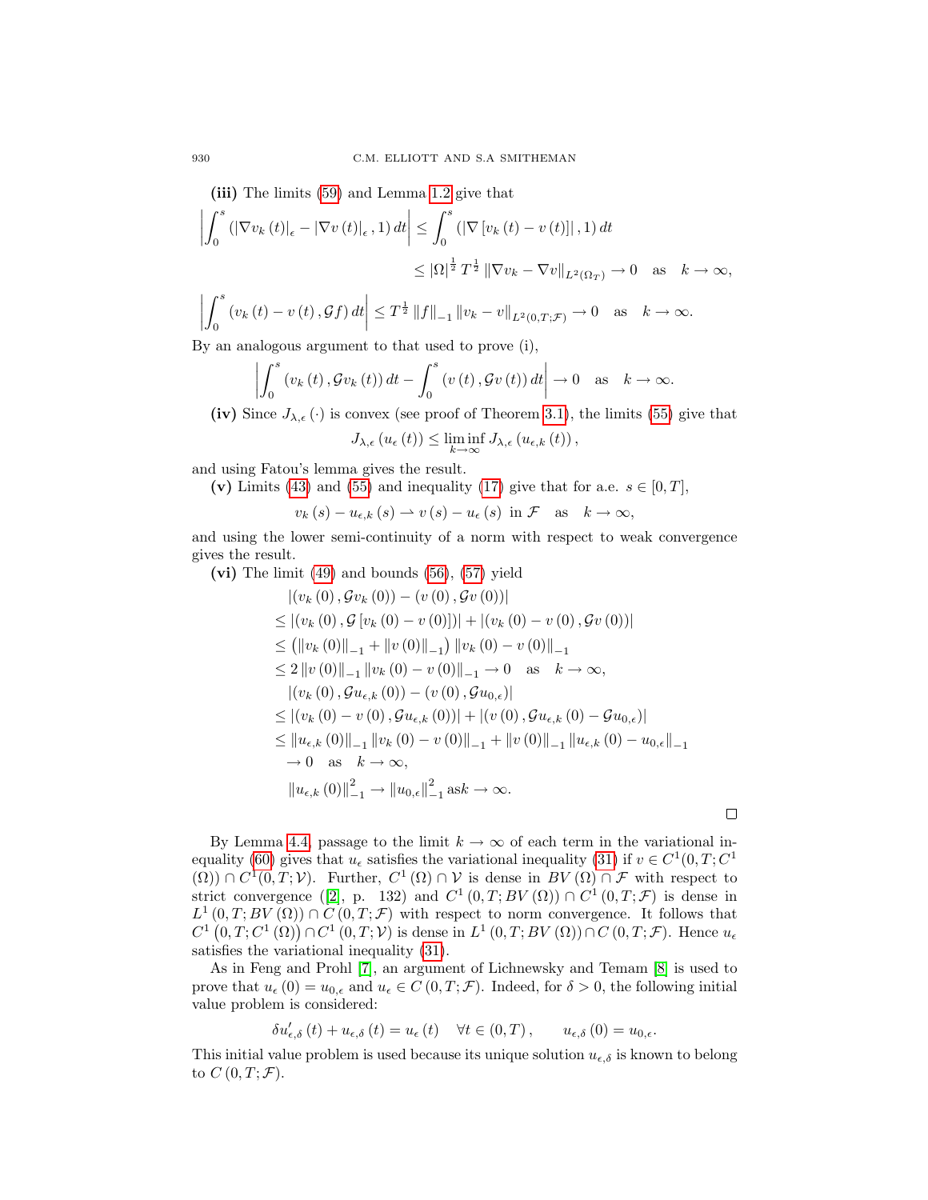(iii) The limits [\(59\)](#page-11-4) and Lemma [1.2](#page-3-2) give that

$$
\left| \int_{0}^{s} \left( \left| \nabla v_{k} \left( t \right) \right|_{\epsilon} - \left| \nabla v \left( t \right) \right|_{\epsilon}, 1 \right) dt \right| \leq \int_{0}^{s} \left( \left| \nabla \left[ v_{k} \left( t \right) - v \left( t \right) \right] \right|, 1 \right) dt
$$
  

$$
\leq \left| \Omega \right|^{\frac{1}{2}} T^{\frac{1}{2}} \left\| \nabla v_{k} - \nabla v \right\|_{L^{2}(\Omega_{T})} \to 0 \quad \text{as} \quad k \to \infty,
$$
  

$$
\left| \int_{0}^{s} \left( v_{k} \left( t \right) - v \left( t \right), \mathcal{G} f \right) dt \right| \leq T^{\frac{1}{2}} \left\| f \right\|_{-1} \left\| v_{k} - v \right\|_{L^{2}(0,T;\mathcal{F})} \to 0 \quad \text{as} \quad k \to \infty.
$$

By an analogous argument to that used to prove (i),

$$
\left| \int_0^s \left( v_k(t), \mathcal{G} v_k(t) \right) dt - \int_0^s \left( v(t), \mathcal{G} v(t) \right) dt \right| \to 0 \quad \text{as} \quad k \to \infty.
$$

(iv) Since  $J_{\lambda,\epsilon}(\cdot)$  is convex (see proof of Theorem [3.1\)](#page-5-6), the limits [\(55\)](#page-11-2) give that

$$
J_{\lambda,\epsilon}\left(u_{\epsilon}\left(t\right)\right)\leq \liminf_{k\to\infty}J_{\lambda,\epsilon}\left(u_{\epsilon,k}\left(t\right)\right),
$$

and using Fatou's lemma gives the result.

(v) Limits [\(43\)](#page-8-2) and [\(55\)](#page-11-2) and inequality [\(17\)](#page-3-5) give that for a.e.  $s \in [0, T]$ ,

$$
v_k(s) - u_{\epsilon,k}(s) \rightharpoonup v(s) - u_{\epsilon}(s)
$$
 in  $\mathcal{F}$  as  $k \to \infty$ ,

and using the lower semi-continuity of a norm with respect to weak convergence gives the result.

(vi) The limit [\(49\)](#page-10-1) and bounds [\(56\)](#page-11-5), [\(57\)](#page-11-6) yield

$$
|(v_k(0), Gv_k(0)) - (v(0), Gv(0))|
$$
  
\n
$$
\leq |(v_k(0), G[v_k(0) - v(0)])| + |(v_k(0) - v(0), Gv(0))|
$$
  
\n
$$
\leq (||v_k(0)||_{-1} + ||v(0)||_{-1}) ||v_k(0) - v(0)||_{-1}
$$
  
\n
$$
\leq 2 ||v(0)||_{-1} ||v_k(0) - v(0)||_{-1} \to 0 \text{ as } k \to \infty,
$$
  
\n
$$
|(v_k(0), G u_{\epsilon,k}(0)) - (v(0), G u_{0,\epsilon})|
$$
  
\n
$$
\leq |(v_k(0) - v(0), G u_{\epsilon,k}(0))| + |(v(0), G u_{\epsilon,k}(0) - G u_{0,\epsilon})|
$$
  
\n
$$
\leq ||u_{\epsilon,k}(0)||_{-1} ||v_k(0) - v(0)||_{-1} + ||v(0)||_{-1} ||u_{\epsilon,k}(0) - u_{0,\epsilon}||_{-1}
$$
  
\n
$$
\to 0 \text{ as } k \to \infty,
$$
  
\n
$$
||u_{\epsilon,k}(0)||_{-1}^{2} \to ||u_{0,\epsilon}||_{-1}^{2} \text{ as } k \to \infty.
$$

 $\Box$ 

By Lemma [4.4,](#page-12-0) passage to the limit  $k \to \infty$  of each term in the variational in-equality [\(60\)](#page-12-1) gives that  $u_{\epsilon}$  satisfies the variational inequality [\(31\)](#page-5-4) if  $v \in C^1(0,T;C^1)$  $(\Omega)$ ) ∩  $C^1(0,T; \mathcal{V})$ . Further,  $C^1(\Omega) \cap \mathcal{V}$  is dense in  $BV(\Omega) \cap \mathcal{F}$  with respect to strict convergence ([\[2\]](#page-18-1), p. 132) and  $C^1(0,T;BV(\Omega)) \cap C^1(0,T;\mathcal{F})$  is dense in  $L^1(0,T;BV(\Omega)) \cap C(0,T;\mathcal{F})$  with respect to norm convergence. It follows that  $C^{1}(0,T;C^{1}(\Omega))\cap C^{1}(0,T;V)$  is dense in  $L^{1}(0,T;BV(\Omega))\cap C(0,T;\mathcal{F})$ . Hence  $u_{\epsilon}$ satisfies the variational inequality [\(31\)](#page-5-4).

As in Feng and Prohl [\[7\]](#page-19-1), an argument of Lichnewsky and Temam [\[8\]](#page-19-5) is used to prove that  $u_{\epsilon}(0) = u_{0,\epsilon}$  and  $u_{\epsilon} \in C(0,T; \mathcal{F})$ . Indeed, for  $\delta > 0$ , the following initial value problem is considered:

$$
\delta u_{\epsilon,\delta}'\left(t\right) + u_{\epsilon,\delta}\left(t\right) = u_{\epsilon}\left(t\right) \quad \forall t \in (0,T), \qquad u_{\epsilon,\delta}\left(0\right) = u_{0,\epsilon}.
$$

This initial value problem is used because its unique solution  $u_{\epsilon,\delta}$  is known to belong to  $C(0,T; \mathcal{F})$ .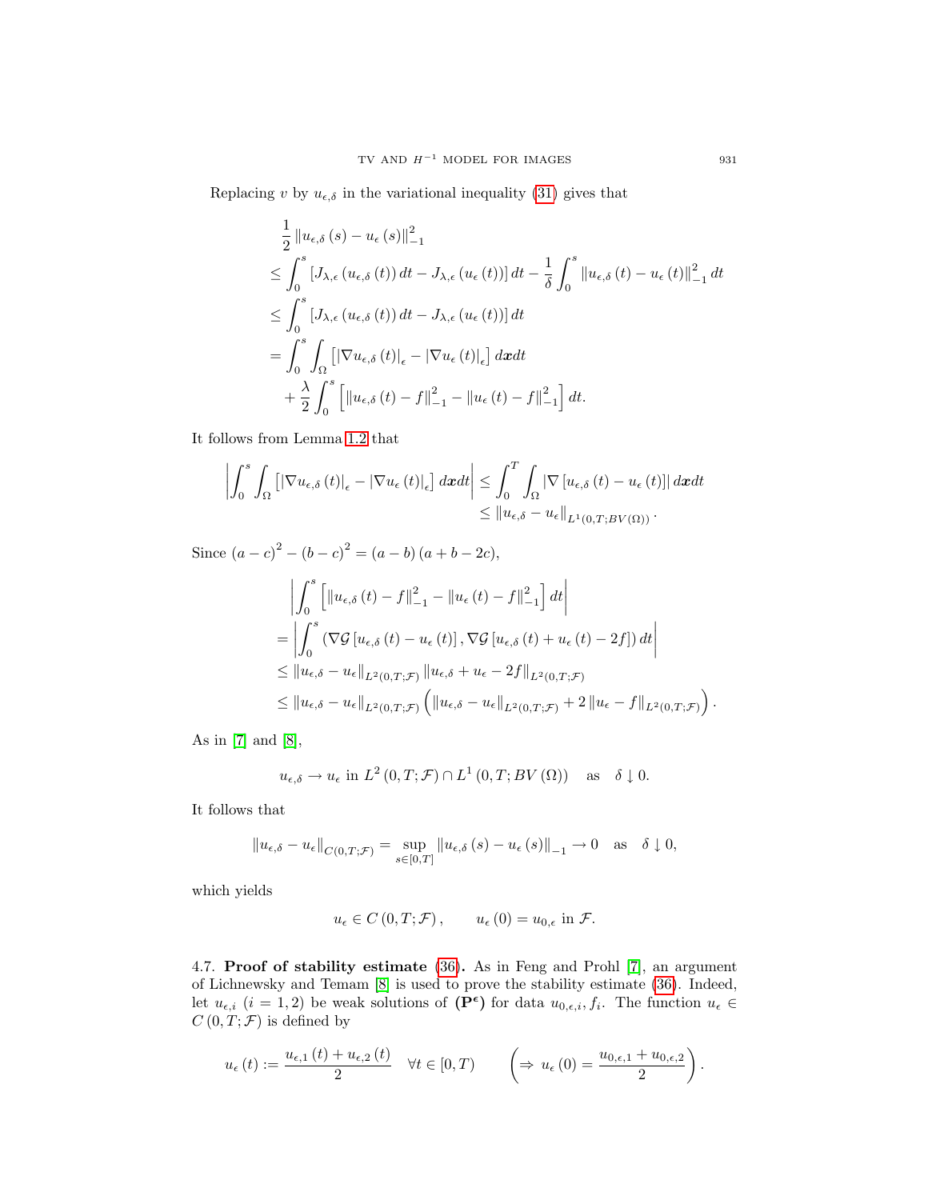Replacing v by  $u_{\epsilon,\delta}$  in the variational inequality [\(31\)](#page-5-4) gives that

$$
\frac{1}{2} \|u_{\epsilon,\delta}(s) - u_{\epsilon}(s)\|_{-1}^{2}
$$
\n
$$
\leq \int_{0}^{s} [J_{\lambda,\epsilon}(u_{\epsilon,\delta}(t)) dt - J_{\lambda,\epsilon}(u_{\epsilon}(t))] dt - \frac{1}{\delta} \int_{0}^{s} \|u_{\epsilon,\delta}(t) - u_{\epsilon}(t)\|_{-1}^{2} dt
$$
\n
$$
\leq \int_{0}^{s} [J_{\lambda,\epsilon}(u_{\epsilon,\delta}(t)) dt - J_{\lambda,\epsilon}(u_{\epsilon}(t))] dt
$$
\n
$$
= \int_{0}^{s} \int_{\Omega} [|\nabla u_{\epsilon,\delta}(t)|_{\epsilon} - |\nabla u_{\epsilon}(t)|_{\epsilon}] dx dt
$$
\n
$$
+ \frac{\lambda}{2} \int_{0}^{s} \left[ \|u_{\epsilon,\delta}(t) - f\|_{-1}^{2} - \|u_{\epsilon}(t) - f\|_{-1}^{2} \right] dt.
$$

It follows from Lemma [1.2](#page-3-2) that

$$
\left| \int_{0}^{s} \int_{\Omega} \left[ \left| \nabla u_{\epsilon,\delta} \left( t \right) \right|_{\epsilon} - \left| \nabla u_{\epsilon} \left( t \right) \right|_{\epsilon} \right] dx dt \right| \leq \int_{0}^{T} \int_{\Omega} \left| \nabla \left[ u_{\epsilon,\delta} \left( t \right) - u_{\epsilon} \left( t \right) \right] \right| dx dt
$$
  
\$\leq\$  $\left\| u_{\epsilon,\delta} - u_{\epsilon} \right\|_{L^{1}(0,T;BV(\Omega))}.$ 

Since  $(a-c)^{2} - (b-c)^{2} = (a-b)(a+b-2c)$ ,

$$
\begin{split}\n&\left|\int_{0}^{s} \left[\left\|u_{\epsilon,\delta}\left(t\right)-f\right\|_{-1}^{2}-\left\|u_{\epsilon}\left(t\right)-f\right\|_{-1}^{2}\right]dt\right| \\
&=\left|\int_{0}^{s} \left(\nabla \mathcal{G}\left[u_{\epsilon,\delta}\left(t\right)-u_{\epsilon}\left(t\right)\right], \nabla \mathcal{G}\left[u_{\epsilon,\delta}\left(t\right)+u_{\epsilon}\left(t\right)-2f\right]\right)dt\right| \\
&\leq\left\|u_{\epsilon,\delta}-u_{\epsilon}\right\|_{L^{2}(0,T;\mathcal{F})}\left\|u_{\epsilon,\delta}+u_{\epsilon}-2f\right\|_{L^{2}(0,T;\mathcal{F})} \\
&\leq\left\|u_{\epsilon,\delta}-u_{\epsilon}\right\|_{L^{2}(0,T;\mathcal{F})}\left(\left\|u_{\epsilon,\delta}-u_{\epsilon}\right\|_{L^{2}(0,T;\mathcal{F})}+2\left\|u_{\epsilon}-f\right\|_{L^{2}(0,T;\mathcal{F})}\right).\n\end{split}
$$

As in [\[7\]](#page-19-1) and [\[8\]](#page-19-5),

$$
u_{\epsilon,\delta} \to u_{\epsilon}
$$
 in  $L^2(0,T; \mathcal{F}) \cap L^1(0,T; BV(\Omega))$  as  $\delta \downarrow 0$ .

It follows that

$$
||u_{\epsilon,\delta} - u_{\epsilon}||_{C(0,T;\mathcal{F})} = \sup_{s \in [0,T]} ||u_{\epsilon,\delta}(s) - u_{\epsilon}(s)||_{-1} \to 0 \quad \text{as} \quad \delta \downarrow 0,
$$

which yields

$$
u_{\epsilon} \in C(0,T; \mathcal{F}), \qquad u_{\epsilon}(0) = u_{0,\epsilon} \text{ in } \mathcal{F}.
$$

<span id="page-14-0"></span>4.7. Proof of stability estimate [\(36\)](#page-7-1). As in Feng and Prohl [\[7\]](#page-19-1), an argument of Lichnewsky and Temam [\[8\]](#page-19-5) is used to prove the stability estimate [\(36\)](#page-7-1). Indeed, let  $u_{\epsilon,i}$   $(i = 1, 2)$  be weak solutions of  $(\mathbf{P}^{\epsilon})$  for data  $u_{0,\epsilon,i}, f_i$ . The function  $u_{\epsilon} \in$  $C(0,T; \mathcal{F})$  is defined by

$$
u_{\epsilon}(t) := \frac{u_{\epsilon,1}(t) + u_{\epsilon,2}(t)}{2} \quad \forall t \in [0,T) \qquad \left(\Rightarrow u_{\epsilon}(0) = \frac{u_{0,\epsilon,1} + u_{0,\epsilon,2}}{2}\right).
$$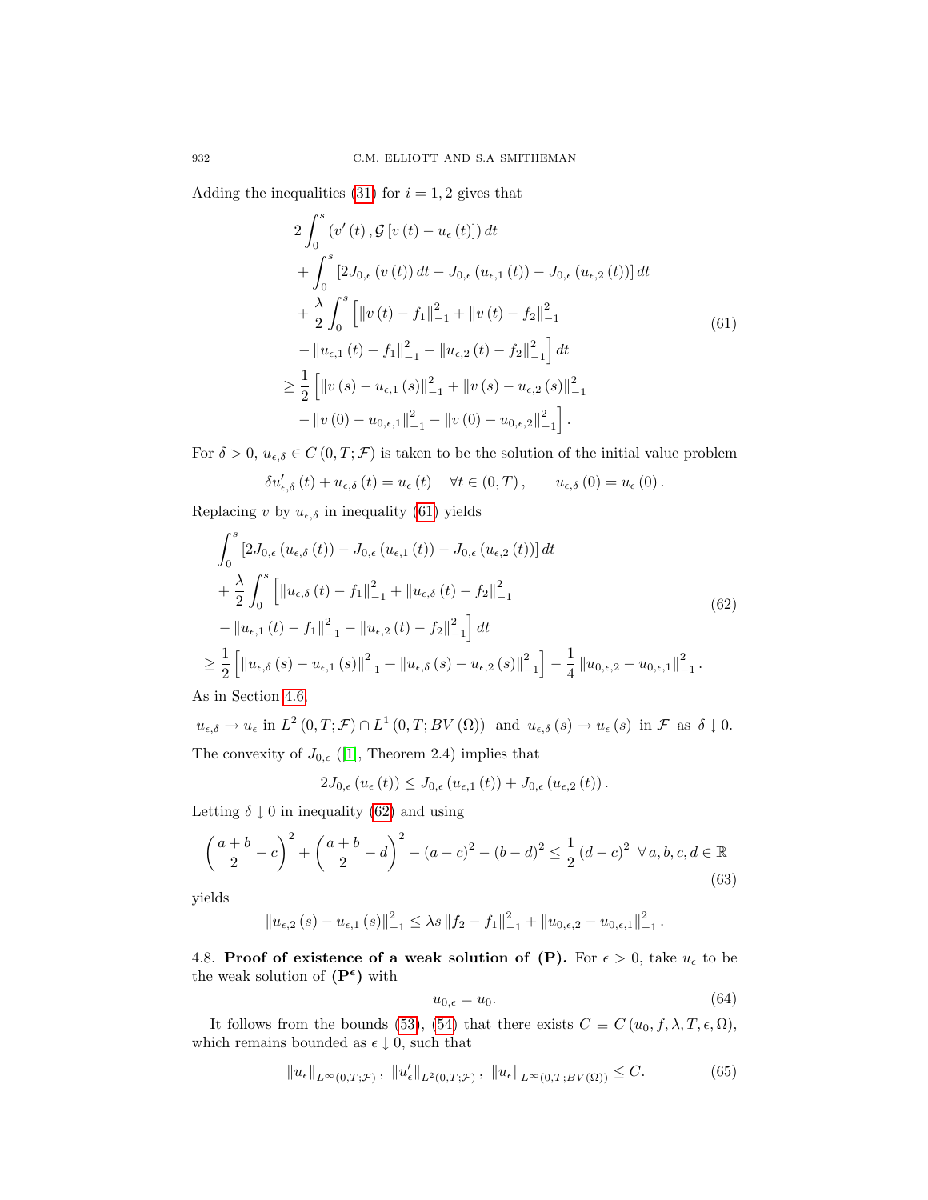<span id="page-15-1"></span>Adding the inequalities [\(31\)](#page-5-4) for  $i = 1, 2$  gives that

$$
2\int_{0}^{s} (v'(t), \mathcal{G}[v(t) - u_{\epsilon}(t)]) dt + \int_{0}^{s} [2J_{0,\epsilon}(v(t)) dt - J_{0,\epsilon}(u_{\epsilon,1}(t)) - J_{0,\epsilon}(u_{\epsilon,2}(t))] dt + \frac{\lambda}{2} \int_{0}^{s} [||v(t) - f_{1}||_{-1}^{2} + ||v(t) - f_{2}||_{-1}^{2} - ||u_{\epsilon,1}(t) - f_{1}||_{-1}^{2} - ||u_{\epsilon,2}(t) - f_{2}||_{-1}^{2}] dt \geq \frac{1}{2} [||v(s) - u_{\epsilon,1}(s)||_{-1}^{2} + ||v(s) - u_{\epsilon,2}(s)||_{-1}^{2} - ||v(0) - u_{0,\epsilon,1}||_{-1}^{2} - ||v(0) - u_{0,\epsilon,2}||_{-1}^{2}].
$$
\n
$$
(61)
$$

For  $\delta > 0$ ,  $u_{\epsilon,\delta} \in C(0,T;\mathcal{F})$  is taken to be the solution of the initial value problem

$$
\delta u'_{\epsilon,\delta}(t) + u_{\epsilon,\delta}(t) = u_{\epsilon}(t) \quad \forall t \in (0,T), \qquad u_{\epsilon,\delta}(0) = u_{\epsilon}(0).
$$

Replacing v by  $u_{\epsilon,\delta}$  in inequality [\(61\)](#page-15-1) yields

<span id="page-15-2"></span>
$$
\int_{0}^{3} \left[2J_{0,\epsilon} \left(u_{\epsilon,\delta}\left(t\right)\right) - J_{0,\epsilon} \left(u_{\epsilon,1}\left(t\right)\right) - J_{0,\epsilon} \left(u_{\epsilon,2}\left(t\right)\right)\right] dt
$$
\n
$$
+ \frac{\lambda}{2} \int_{0}^{s} \left[ \left\|u_{\epsilon,\delta}\left(t\right) - f_{1}\right\|_{-1}^{2} + \left\|u_{\epsilon,\delta}\left(t\right) - f_{2}\right\|_{-1}^{2} - \left\|u_{\epsilon,1}\left(t\right) - f_{1}\right\|_{-1}^{2} - \left\|u_{\epsilon,2}\left(t\right) - f_{2}\right\|_{-1}^{2} \right] dt
$$
\n
$$
\geq \frac{1}{2} \left[ \left\|u_{\epsilon,\delta}\left(s\right) - u_{\epsilon,1}\left(s\right)\right\|_{-1}^{2} + \left\|u_{\epsilon,\delta}\left(s\right) - u_{\epsilon,2}\left(s\right)\right\|_{-1}^{2} - \frac{1}{4} \left\|u_{0,\epsilon,2} - u_{0,\epsilon,1}\right\|_{-1}^{2} \right].
$$
\n(62)

As in Section [4.6,](#page-11-0)

 $\overline{a}$ 

 $u_{\epsilon,\delta} \to u_{\epsilon}$  in  $L^2(0,T;\mathcal{F}) \cap L^1(0,T;BV(\Omega))$  and  $u_{\epsilon,\delta}(s) \to u_{\epsilon}(s)$  in  $\mathcal{F}$  as  $\delta \downarrow 0$ . The convexity of  $J_{0,\epsilon}$  ([\[1\]](#page-18-5), Theorem 2.4) implies that

$$
2J_{0,\epsilon}(u_{\epsilon}(t)) \leq J_{0,\epsilon}(u_{\epsilon,1}(t)) + J_{0,\epsilon}(u_{\epsilon,2}(t)).
$$

Letting  $\delta \downarrow 0$  in inequality [\(62\)](#page-15-2) and using

$$
\left(\frac{a+b}{2} - c\right)^2 + \left(\frac{a+b}{2} - d\right)^2 - (a-c)^2 - (b-d)^2 \le \frac{1}{2}(d-c)^2 \ \forall a, b, c, d \in \mathbb{R}
$$
\n(63)

yields

$$
||u_{\epsilon,2}(s) - u_{\epsilon,1}(s)||_{-1}^{2} \leq \lambda s ||f_{2} - f_{1}||_{-1}^{2} + ||u_{0,\epsilon,2} - u_{0,\epsilon,1}||_{-1}^{2}.
$$

<span id="page-15-0"></span>4.8. Proof of existence of a weak solution of (P). For  $\epsilon > 0$ , take  $u_{\epsilon}$  to be the weak solution of  $(P^{\epsilon})$  with

<span id="page-15-3"></span>
$$
u_{0,\epsilon} = u_0. \tag{64}
$$

It follows from the bounds [\(53\)](#page-10-5), [\(54\)](#page-11-1) that there exists  $C \equiv C(u_0, f, \lambda, T, \epsilon, \Omega)$ , which remains bounded as  $\epsilon \downarrow 0$ , such that

$$
||u_{\epsilon}||_{L^{\infty}(0,T;\mathcal{F})}, ||u'_{\epsilon}||_{L^{2}(0,T;\mathcal{F})}, ||u_{\epsilon}||_{L^{\infty}(0,T;BV(\Omega))} \leq C.
$$
 (65)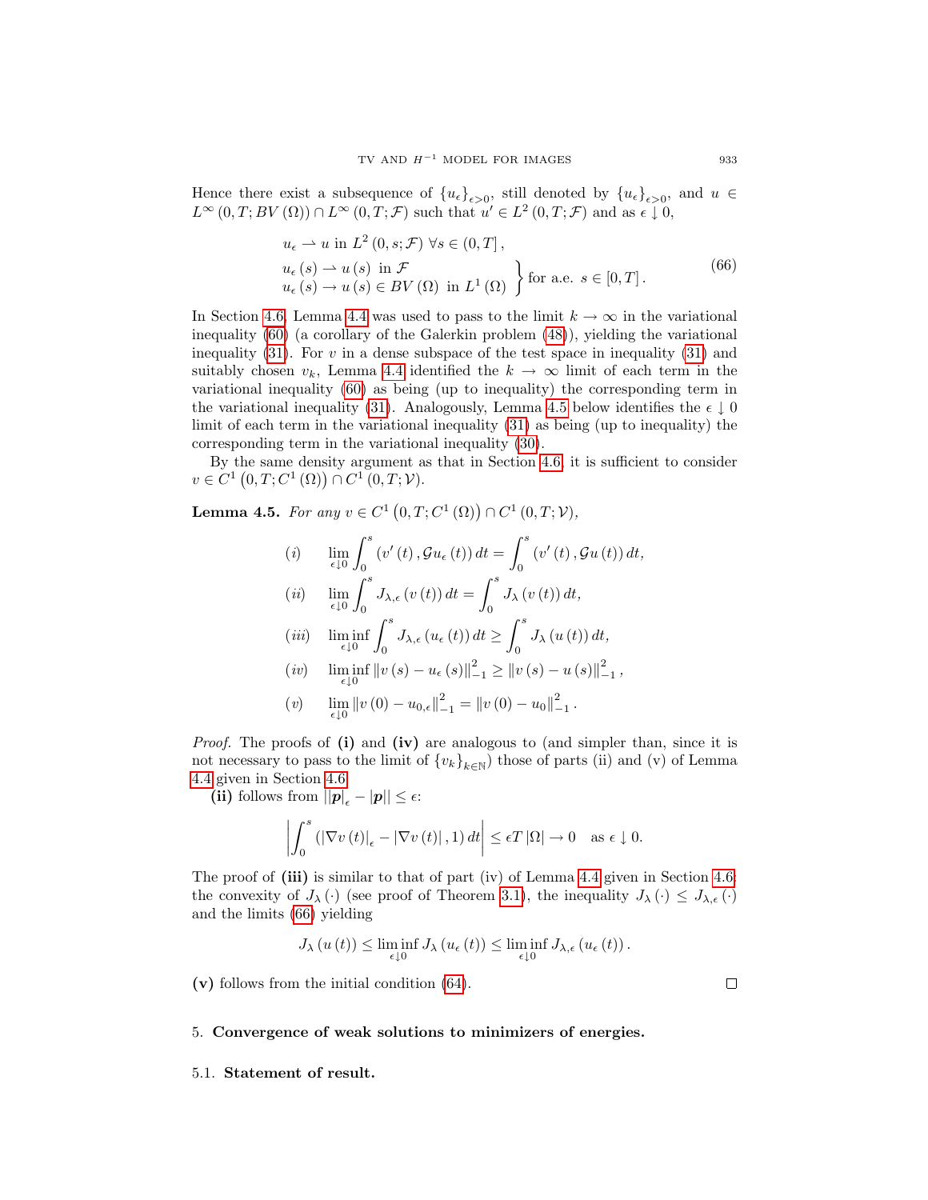Hence there exist a subsequence of  $\{u_{\epsilon}\}_{{\epsilon}>0}$ , still denoted by  $\{u_{\epsilon}\}_{{\epsilon}>0}$ , and  $u \in$  $L^{\infty}(0,T;BV(\Omega)) \cap L^{\infty}(0,T;\mathcal{F})$  such that  $u' \in L^2(0,T;\mathcal{F})$  and as  $\epsilon \downarrow 0$ ,

$$
u_{\epsilon} \rightharpoonup u \text{ in } L^{2}(0, s; \mathcal{F}) \ \forall s \in (0, T],
$$
  
\n
$$
u_{\epsilon}(s) \rightharpoonup u(s) \text{ in } \mathcal{F}
$$
  
\n
$$
u_{\epsilon}(s) \rightharpoonup u(s) \in BV(\Omega) \text{ in } L^{1}(\Omega) \}
$$
  
\nfor a.e.  $s \in [0, T].$  (66)

<span id="page-16-2"></span>In Section [4.6,](#page-11-0) Lemma [4.4](#page-12-0) was used to pass to the limit  $k \to \infty$  in the variational inequality [\(60\)](#page-12-1) (a corollary of the Galerkin problem [\(48\)](#page-9-1)), yielding the variational inequality  $(31)$ . For v in a dense subspace of the test space in inequality  $(31)$  and suitably chosen  $v_k$ , Lemma [4.4](#page-12-0) identified the  $k \to \infty$  limit of each term in the variational inequality [\(60\)](#page-12-1) as being (up to inequality) the corresponding term in the variational inequality [\(31\)](#page-5-4). Analogously, Lemma [4.5](#page-16-1) below identifies the  $\epsilon \downarrow 0$ limit of each term in the variational inequality [\(31\)](#page-5-4) as being (up to inequality) the corresponding term in the variational inequality [\(30\)](#page-5-5).

By the same density argument as that in Section [4.6,](#page-11-0) it is sufficient to consider  $v \in C^{1}(0, T; C^{1}(\Omega)) \cap C^{1}(0, T; V).$ 

<span id="page-16-1"></span>**Lemma 4.5.** For any  $v \in C^1(0,T;C^1(\Omega)) \cap C^1(0,T;V)$ ,

(i) 
$$
\lim_{\epsilon \downarrow 0} \int_0^s (v'(t), Gu_\epsilon(t)) dt = \int_0^s (v'(t), Gu(t)) dt,
$$
  
\n(ii) 
$$
\lim_{\epsilon \downarrow 0} \int_0^s J_{\lambda, \epsilon}(v(t)) dt = \int_0^s J_{\lambda}(v(t)) dt,
$$
  
\n(iii) 
$$
\liminf_{\epsilon \downarrow 0} \int_0^s J_{\lambda, \epsilon}(u_\epsilon(t)) dt \ge \int_0^s J_{\lambda}(u(t)) dt,
$$
  
\n(iv) 
$$
\liminf_{\epsilon \downarrow 0} ||v(s) - u_\epsilon(s)||_{-1}^2 \ge ||v(s) - u(s)||_{-1}^2,
$$
  
\n(v) 
$$
\lim_{\epsilon \downarrow 0} ||v(0) - u_{0,\epsilon}||_{-1}^2 = ||v(0) - u_0||_{-1}^2.
$$

*Proof.* The proofs of  $(i)$  and  $(iv)$  are analogous to (and simpler than, since it is not necessary to pass to the limit of  ${v_k}_{k\in\mathbb{N}}$  those of parts (ii) and (v) of Lemma [4.4](#page-12-0) given in Section [4.6.](#page-11-0)

(ii) follows from  $||p|_{\epsilon} - |p|| \leq \epsilon$ :

$$
\left| \int_{0}^{s} \left( \left| \nabla v \left( t \right) \right|_{\epsilon} - \left| \nabla v \left( t \right) \right|, 1 \right) dt \right| \leq \epsilon T \left| \Omega \right| \to 0 \quad \text{as } \epsilon \downarrow 0.
$$

The proof of (iii) is similar to that of part (iv) of Lemma [4.4](#page-12-0) given in Section [4.6:](#page-11-0) the convexity of  $J_\lambda(\cdot)$  (see proof of Theorem [3.1\)](#page-5-6), the inequality  $J_\lambda(\cdot) \leq J_{\lambda,\epsilon}(\cdot)$ and the limits [\(66\)](#page-16-2) yielding

$$
J_{\lambda}(u(t)) \leq \liminf_{\epsilon \downarrow 0} J_{\lambda}(u_{\epsilon}(t)) \leq \liminf_{\epsilon \downarrow 0} J_{\lambda,\epsilon}(u_{\epsilon}(t)).
$$

(v) follows from the initial condition [\(64\)](#page-15-3).

 $\Box$ 

#### <span id="page-16-0"></span>5. Convergence of weak solutions to minimizers of energies.

#### <span id="page-16-3"></span>5.1. Statement of result.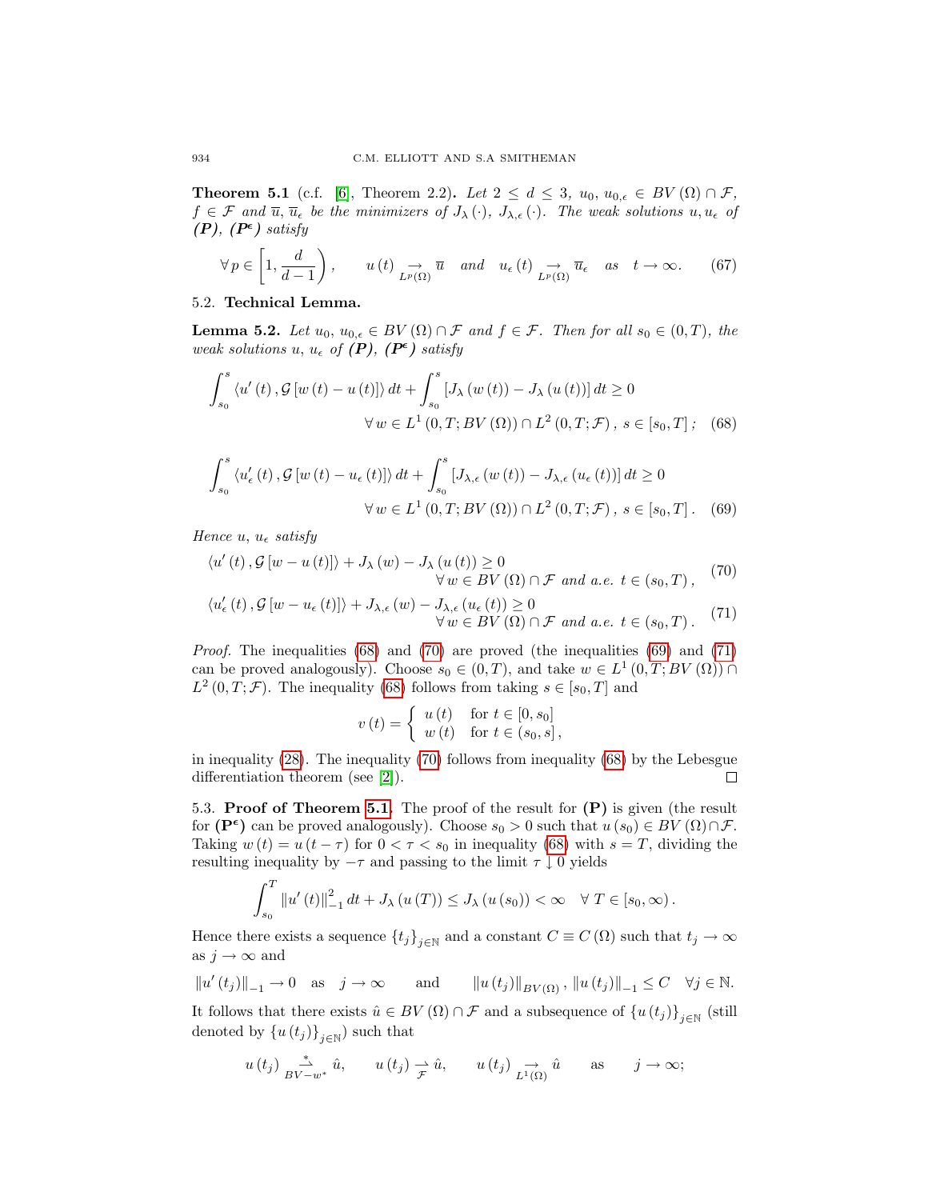**Theorem 5.1** (c.f. [\[6\]](#page-18-3), Theorem 2.2). Let  $2 \leq d \leq 3$ ,  $u_0, u_{0,\epsilon} \in BV(\Omega) \cap \mathcal{F}$ ,  $f \in \mathcal{F}$  and  $\overline{u}, \overline{u}_{\epsilon}$  be the minimizers of  $J_{\lambda}(\cdot), J_{\lambda,\epsilon}(\cdot)$ . The weak solutions  $u, u_{\epsilon}$  of  $(P), (P^{\epsilon})$  satisfy

<span id="page-17-4"></span>
$$
\forall p \in \left[1, \frac{d}{d-1}\right), \qquad u(t) \underset{L^p(\Omega)}{\to} \overline{u} \quad and \quad u_{\epsilon}(t) \underset{L^p(\Omega)}{\to} \overline{u}_{\epsilon} \quad as \quad t \to \infty. \tag{67}
$$

## 5.2. Technical Lemma.

**Lemma 5.2.** Let  $u_0, u_{0,\epsilon} \in BV(\Omega) \cap \mathcal{F}$  and  $f \in \mathcal{F}$ . Then for all  $s_0 \in (0,T)$ , the weak solutions u,  $u_{\epsilon}$  of  $(P)$ ,  $(P^{\epsilon})$  satisfy

$$
\int_{s_0}^{s} \langle u'(t), \mathcal{G}[w(t) - u(t)] \rangle dt + \int_{s_0}^{s} [J_{\lambda}(w(t)) - J_{\lambda}(u(t))] dt \ge 0
$$
  

$$
\forall w \in L^1(0, T; BV(\Omega)) \cap L^2(0, T; \mathcal{F}), s \in [s_0, T]; \quad (68)
$$

$$
\int_{s_0}^{s} \langle u'_{\epsilon}(t), \mathcal{G}[w(t) - u_{\epsilon}(t)] \rangle dt + \int_{s_0}^{s} [J_{\lambda, \epsilon}(w(t)) - J_{\lambda, \epsilon}(u_{\epsilon}(t))] dt \ge 0
$$
  

$$
\forall w \in L^1(0, T; BV(\Omega)) \cap L^2(0, T; \mathcal{F}), s \in [s_0, T].
$$
 (69)

Hence u,  $u_{\epsilon}$  satisfy

$$
\langle u'(t), \mathcal{G}[w - u(t)] \rangle + J_{\lambda}(w) - J_{\lambda}(u(t)) \ge 0
$$
  
 
$$
\forall w \in BV(\Omega) \cap \mathcal{F} \text{ and a.e. } t \in (s_0, T),
$$
 (70)

$$
\langle u_{\epsilon}'(t), \mathcal{G}[w - u_{\epsilon}(t)] \rangle + J_{\lambda, \epsilon}(w) - J_{\lambda, \epsilon}(u_{\epsilon}(t)) \ge 0
$$
  

$$
\forall w \in BV(\Omega) \cap \mathcal{F} \text{ and a.e. } t \in (s_0, T). \tag{71}
$$

*Proof.* The inequalities  $(68)$  and  $(70)$  are proved (the inequalities  $(69)$  and  $(71)$ ) can be proved analogously). Choose  $s_0 \in (0,T)$ , and take  $w \in L^1(0,T;BV(\Omega)) \cap$  $L^2(0,T;\mathcal{F})$ . The inequality [\(68\)](#page-17-0) follows from taking  $s \in [s_0,T]$  and

<span id="page-17-3"></span><span id="page-17-2"></span><span id="page-17-1"></span><span id="page-17-0"></span>
$$
v(t) = \begin{cases} u(t) & \text{for } t \in [0, s_0] \\ w(t) & \text{for } t \in (s_0, s], \end{cases}
$$

in inequality [\(28\)](#page-5-1). The inequality [\(70\)](#page-17-1) follows from inequality [\(68\)](#page-17-0) by the Lebesgue differentiation theorem (see [\[2\]](#page-18-1)).  $\Box$ 

5.3. Proof of Theorem [5.1.](#page-16-3) The proof of the result for  $(P)$  is given (the result for  $(\mathbf{P}^{\epsilon})$  can be proved analogously). Choose  $s_0 > 0$  such that  $u(s_0) \in BV(\Omega) \cap \mathcal{F}$ . Taking  $w(t) = u(t - \tau)$  for  $0 < \tau < s_0$  in inequality [\(68\)](#page-17-0) with  $s = T$ , dividing the resulting inequality by  $-\tau$  and passing to the limit  $\tau \downarrow 0$  yields

$$
\int_{s_0}^{T} ||u'(t)||_{-1}^{2} dt + J_{\lambda} (u(T)) \leq J_{\lambda} (u(s_0)) < \infty \quad \forall T \in [s_0, \infty).
$$

Hence there exists a sequence  $\{t_j\}_{j\in\mathbb{N}}$  and a constant  $C \equiv C(\Omega)$  such that  $t_j \to \infty$ as  $j \to \infty$  and

$$
||u'(t_j)||_{-1} \to 0
$$
 as  $j \to \infty$  and  $||u(t_j)||_{BV(\Omega)}$ ,  $||u(t_j)||_{-1} \leq C \quad \forall j \in \mathbb{N}$ .

It follows that there exists  $\hat{u} \in BV(\Omega) \cap \mathcal{F}$  and a subsequence of  $\{u(t_j)\}_{j \in \mathbb{N}}$  (still denoted by  $\{u(t_j)\}_{j\in\mathbb{N}}$ ) such that

$$
u(t_j) \underset{BV-w^*}{\xrightarrow{\ast}} \hat{u}, \qquad u(t_j) \underset{\mathcal{F}}{\xrightarrow{\ast}} \hat{u}, \qquad u(t_j) \underset{L^1(\Omega)}{\rightarrow} \hat{u} \qquad \text{as} \qquad j \to \infty;
$$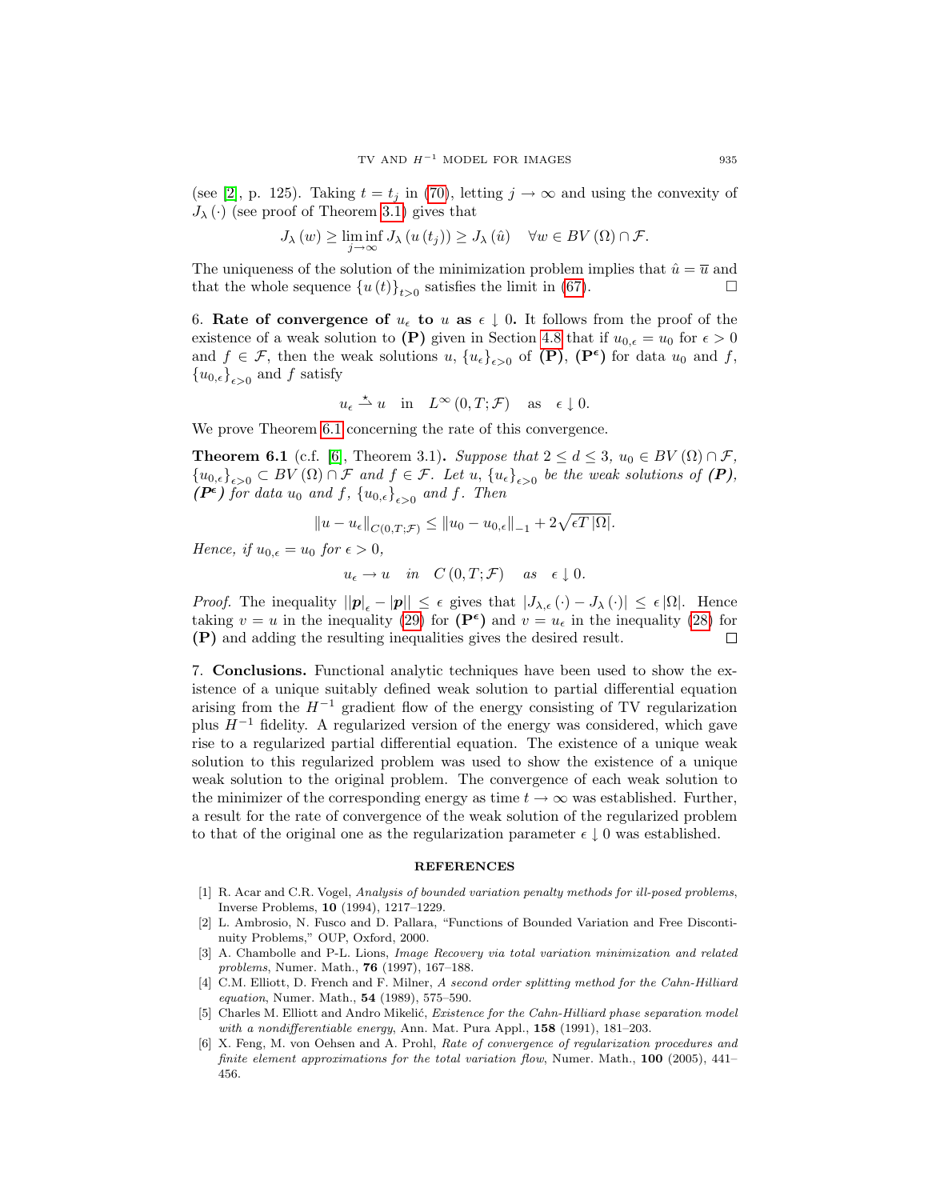(see [\[2\]](#page-18-1), p. 125). Taking  $t = t_i$  in [\(70\)](#page-17-1), letting  $j \to \infty$  and using the convexity of  $J_{\lambda}(\cdot)$  (see proof of Theorem [3.1\)](#page-5-6) gives that

$$
J_{\lambda}(w) \ge \liminf_{j \to \infty} J_{\lambda}(u(t_j)) \ge J_{\lambda}(\hat{u}) \quad \forall w \in BV(\Omega) \cap \mathcal{F}.
$$

The uniqueness of the solution of the minimization problem implies that  $\hat{u} = \overline{u}$  and that the whole sequence  $\{u(t)\}_{t>0}$  satisfies the limit in [\(67\)](#page-17-4).

<span id="page-18-2"></span>6. Rate of convergence of  $u_{\epsilon}$  to u as  $\epsilon \downarrow 0$ . It follows from the proof of the existence of a weak solution to (P) given in Section [4.8](#page-15-0) that if  $u_{0,\epsilon} = u_0$  for  $\epsilon > 0$ and  $f \in \mathcal{F}$ , then the weak solutions  $u, \{u_{\epsilon}\}_{{\epsilon} > 0}$  of  $(\mathbf{P})$ ,  $(\mathbf{P}^{\epsilon})$  for data  $u_0$  and  $f$ ,  ${u_{0,\epsilon}}_{\epsilon>0}$  and f satisfy

$$
u_{\epsilon} \stackrel{\star}{\rightharpoonup} u
$$
 in  $L^{\infty}(0,T; \mathcal{F})$  as  $\epsilon \downarrow 0$ .

We prove Theorem [6.1](#page-18-7) concerning the rate of this convergence.

<span id="page-18-7"></span>**Theorem 6.1** (c.f. [\[6\]](#page-18-3), Theorem 3.1). Suppose that  $2 \le d \le 3$ ,  $u_0 \in BV(\Omega) \cap \mathcal{F}$ ,  ${u_{0,\epsilon}}_{\epsilon>0} \subset BV(\Omega) \cap \mathcal{F}$  and  $f \in \mathcal{F}$ . Let  $u, \{u_{\epsilon}\}_{\epsilon>0}$  be the weak solutions of  $(P)$ ,  $(P^{\epsilon})$  for data  $u_0$  and f,  $\{u_{0,\epsilon}\}_{\epsilon>0}$  and f. Then

$$
||u - u_{\epsilon}||_{C(0,T;\mathcal{F})} \le ||u_0 - u_{0,\epsilon}||_{-1} + 2\sqrt{\epsilon T |\Omega|}.
$$

Hence, if  $u_{0,\epsilon} = u_0$  for  $\epsilon > 0$ ,

 $u_{\epsilon} \to u \quad in \quad C(0,T; \mathcal{F}) \quad as \quad \epsilon \downarrow 0.$ 

*Proof.* The inequality  $||\mathbf{p}||_{\epsilon} - |\mathbf{p}|| \leq \epsilon$  gives that  $|J_{\lambda,\epsilon}(\cdot) - J_{\lambda}(\cdot)| \leq \epsilon |\Omega|$ . Hence taking  $v = u$  in the inequality [\(29\)](#page-5-2) for  $(\mathbf{P}^{\epsilon})$  and  $v = u_{\epsilon}$  in the inequality [\(28\)](#page-5-1) for (P) and adding the resulting inequalities gives the desired result. □

7. Conclusions. Functional analytic techniques have been used to show the existence of a unique suitably defined weak solution to partial differential equation arising from the  $H^{-1}$  gradient flow of the energy consisting of TV regularization plus  $H^{-1}$  fidelity. A regularized version of the energy was considered, which gave rise to a regularized partial differential equation. The existence of a unique weak solution to this regularized problem was used to show the existence of a unique weak solution to the original problem. The convergence of each weak solution to the minimizer of the corresponding energy as time  $t \to \infty$  was established. Further, a result for the rate of convergence of the weak solution of the regularized problem to that of the original one as the regularization parameter  $\epsilon \downarrow 0$  was established.

#### **REFERENCES**

- <span id="page-18-5"></span>[1] R. Acar and C.R. Vogel, Analysis of bounded variation penalty methods for ill-posed problems, Inverse Problems, 10 (1994), 1217–1229.
- <span id="page-18-1"></span>[2] L. Ambrosio, N. Fusco and D. Pallara, "Functions of Bounded Variation and Free Discontinuity Problems," OUP, Oxford, 2000.
- <span id="page-18-6"></span>[3] A. Chambolle and P-L. Lions, *Image Recovery via total variation minimization and related* problems, Numer. Math., 76 (1997), 167–188.
- <span id="page-18-0"></span>[4] C.M. Elliott, D. French and F. Milner, A second order splitting method for the Cahn-Hilliard equation, Numer. Math., 54 (1989), 575–590.
- <span id="page-18-4"></span>[5] Charles M. Elliott and Andro Mikelić, Existence for the Cahn-Hilliard phase separation model with a nondifferentiable energy, Ann. Mat. Pura Appl., 158 (1991), 181–203.
- <span id="page-18-3"></span>[6] X. Feng, M. von Oehsen and A. Prohl, Rate of convergence of regularization procedures and finite element approximations for the total variation flow, Numer. Math., 100 (2005), 441– 456.